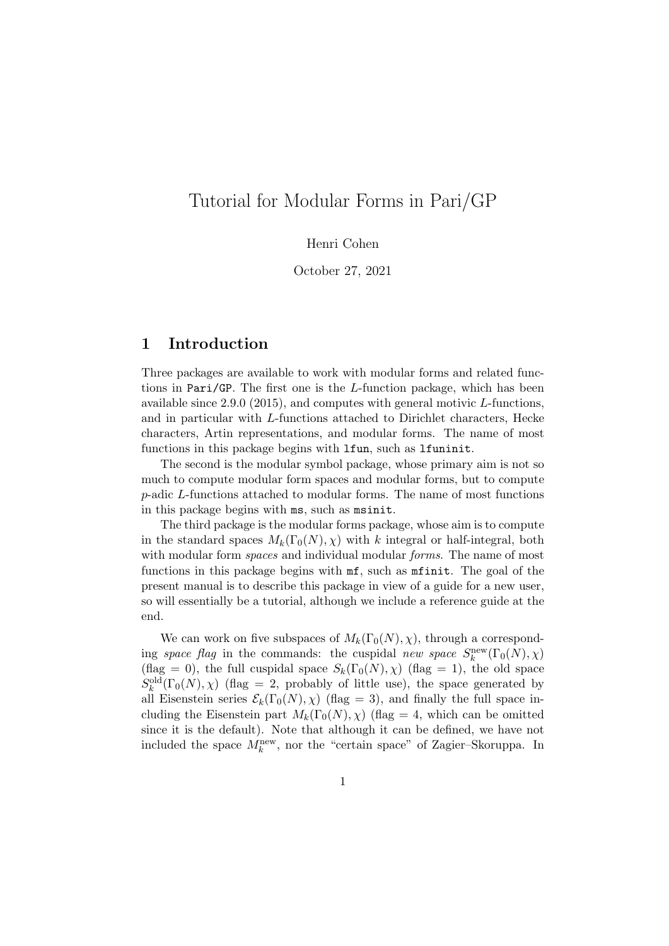# Tutorial for Modular Forms in Pari/GP

#### Henri Cohen

October 27, 2021

# 1 Introduction

Three packages are available to work with modular forms and related functions in Pari/GP. The first one is the L-function package, which has been available since 2.9.0 (2015), and computes with general motivic L-functions, and in particular with L-functions attached to Dirichlet characters, Hecke characters, Artin representations, and modular forms. The name of most functions in this package begins with lfun, such as lfuninit.

The second is the modular symbol package, whose primary aim is not so much to compute modular form spaces and modular forms, but to compute p-adic L-functions attached to modular forms. The name of most functions in this package begins with ms, such as msinit.

The third package is the modular forms package, whose aim is to compute in the standard spaces  $M_k(\Gamma_0(N), \chi)$  with k integral or half-integral, both with modular form *spaces* and individual modular *forms*. The name of most functions in this package begins with mf, such as mfinit. The goal of the present manual is to describe this package in view of a guide for a new user, so will essentially be a tutorial, although we include a reference guide at the end.

We can work on five subspaces of  $M_k(\Gamma_0(N), \chi)$ , through a corresponding space flag in the commands: the cuspidal new space  $S_k^{\text{new}}(\Gamma_0(N), \chi)$ (flag = 0), the full cuspidal space  $S_k(\Gamma_0(N), \chi)$  (flag = 1), the old space  $S_k^{\text{old}}(\Gamma_0(N), \chi)$  (flag = 2, probably of little use), the space generated by all Eisenstein series  $\mathcal{E}_k(\Gamma_0(N), \chi)$  (flag = 3), and finally the full space including the Eisenstein part  $M_k(\Gamma_0(N), \chi)$  (flag = 4, which can be omitted since it is the default). Note that although it can be defined, we have not included the space  $M_k^{\text{new}}$ , nor the "certain space" of Zagier–Skoruppa. In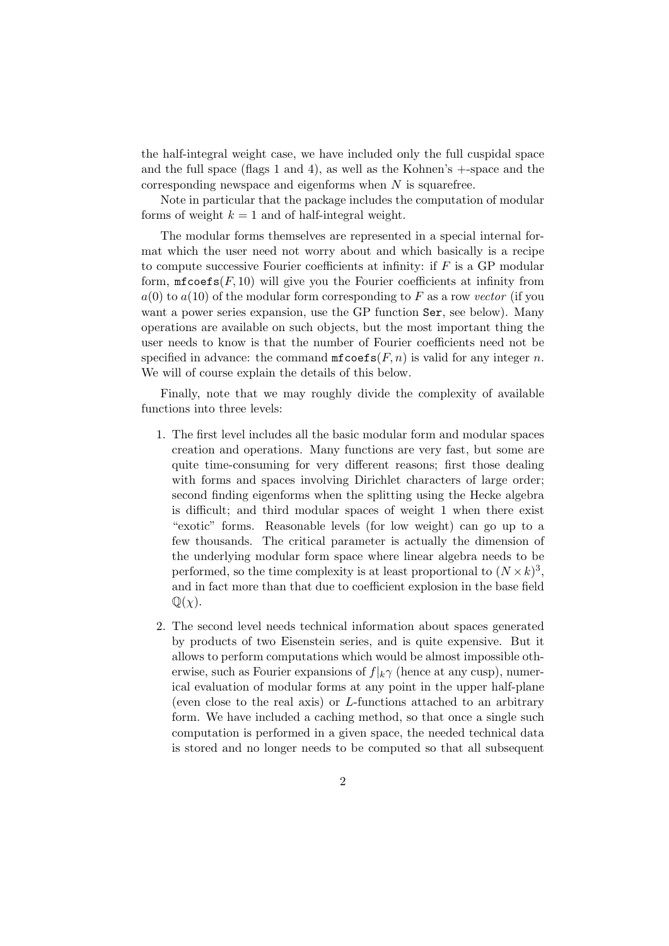the half-integral weight case, we have included only the full cuspidal space and the full space (flags 1 and 4), as well as the Kohnen's  $+$ -space and the corresponding newspace and eigenforms when N is squarefree.

Note in particular that the package includes the computation of modular forms of weight  $k = 1$  and of half-integral weight.

The modular forms themselves are represented in a special internal format which the user need not worry about and which basically is a recipe to compute successive Fourier coefficients at infinity: if  $F$  is a GP modular form,  $\texttt{mfoefs}(F, 10)$  will give you the Fourier coefficients at infinity from  $a(0)$  to  $a(10)$  of the modular form corresponding to F as a row vector (if you want a power series expansion, use the GP function Ser, see below). Many operations are available on such objects, but the most important thing the user needs to know is that the number of Fourier coefficients need not be specified in advance: the command  $m\texttt{fcoeff}(F,n)$  is valid for any integer n. We will of course explain the details of this below.

Finally, note that we may roughly divide the complexity of available functions into three levels:

- 1. The first level includes all the basic modular form and modular spaces creation and operations. Many functions are very fast, but some are quite time-consuming for very different reasons; first those dealing with forms and spaces involving Dirichlet characters of large order; second finding eigenforms when the splitting using the Hecke algebra is difficult; and third modular spaces of weight 1 when there exist "exotic" forms. Reasonable levels (for low weight) can go up to a few thousands. The critical parameter is actually the dimension of the underlying modular form space where linear algebra needs to be performed, so the time complexity is at least proportional to  $(N \times k)^3$ , and in fact more than that due to coefficient explosion in the base field  $\mathbb{Q}(\chi)$ .
- 2. The second level needs technical information about spaces generated by products of two Eisenstein series, and is quite expensive. But it allows to perform computations which would be almost impossible otherwise, such as Fourier expansions of  $f|_k \gamma$  (hence at any cusp), numerical evaluation of modular forms at any point in the upper half-plane (even close to the real axis) or L-functions attached to an arbitrary form. We have included a caching method, so that once a single such computation is performed in a given space, the needed technical data is stored and no longer needs to be computed so that all subsequent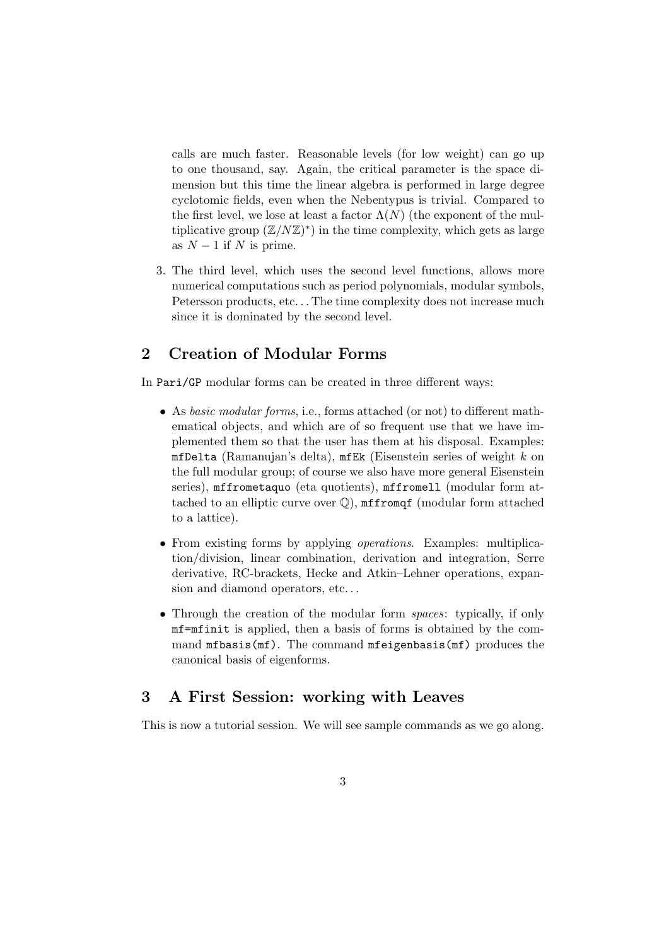calls are much faster. Reasonable levels (for low weight) can go up to one thousand, say. Again, the critical parameter is the space dimension but this time the linear algebra is performed in large degree cyclotomic fields, even when the Nebentypus is trivial. Compared to the first level, we lose at least a factor  $\Lambda(N)$  (the exponent of the multiplicative group  $(\mathbb{Z}/N\mathbb{Z})^*$ ) in the time complexity, which gets as large as  $N - 1$  if N is prime.

3. The third level, which uses the second level functions, allows more numerical computations such as period polynomials, modular symbols, Petersson products, etc. . . The time complexity does not increase much since it is dominated by the second level.

# 2 Creation of Modular Forms

In Pari/GP modular forms can be created in three different ways:

- As basic modular forms, i.e., forms attached (or not) to different mathematical objects, and which are of so frequent use that we have implemented them so that the user has them at his disposal. Examples: mfDelta (Ramanujan's delta), mfEk (Eisenstein series of weight  $k$  on the full modular group; of course we also have more general Eisenstein series), mffrometaquo (eta quotients), mffromell (modular form attached to an elliptic curve over  $\mathbb{Q}$ ),  $\text{mfrom of }$  (modular form attached to a lattice).
- From existing forms by applying *operations*. Examples: multiplication/division, linear combination, derivation and integration, Serre derivative, RC-brackets, Hecke and Atkin–Lehner operations, expansion and diamond operators, etc. . .
- Through the creation of the modular form *spaces*: typically, if only mf=mfinit is applied, then a basis of forms is obtained by the command mfbasis(mf). The command mfeigenbasis(mf) produces the canonical basis of eigenforms.

### 3 A First Session: working with Leaves

This is now a tutorial session. We will see sample commands as we go along.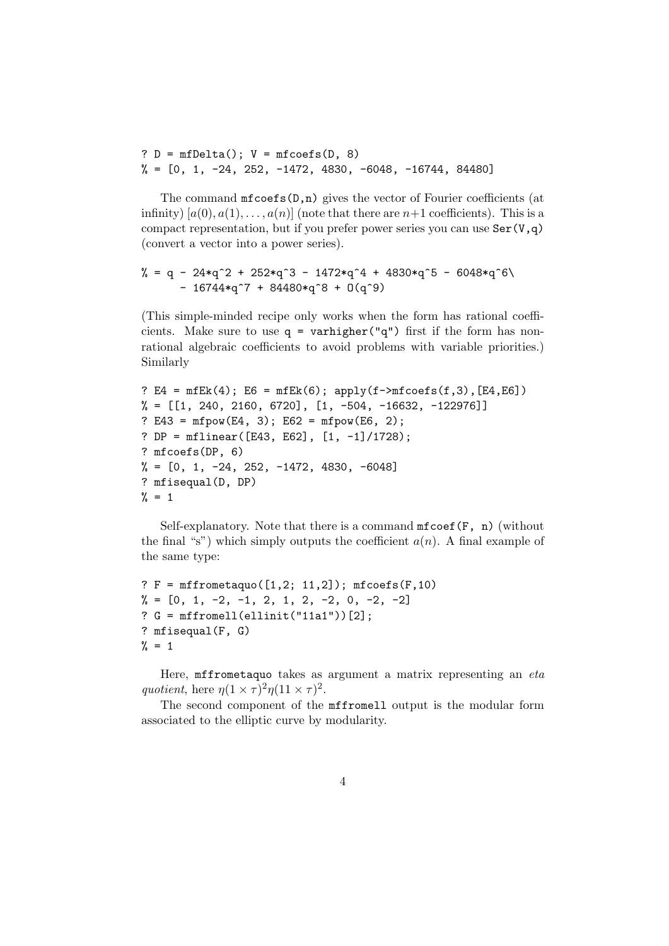```
? D = mfDelta(); V = mfcoeff(D, 8)% = [0, 1, -24, 252, -1472, 4830, -6048, -16744, 84480]
```
The command  $m\text{fcoes}(D,n)$  gives the vector of Fourier coefficients (at infinity)  $[a(0), a(1), \ldots, a(n)]$  (note that there are  $n+1$  coefficients). This is a compact representation, but if you prefer power series you can use  $\text{Ser}(V,q)$ (convert a vector into a power series).

$$
\% = q - 24 \times q^2 + 252 \times q^3 - 1472 \times q^4 + 4830 \times q^5 - 6048 \times q^6
$$
  
- 16744 \times q^7 + 84480 \times q^8 + 0(q^9)

(This simple-minded recipe only works when the form has rational coefficients. Make sure to use  $q = \text{varhigher}("q")$  first if the form has nonrational algebraic coefficients to avoid problems with variable priorities.) Similarly

```
? E4 = mfEk(4); E6 = mfEk(6); apply(f \rightarrow mfooefs(f,3), [E4, E6])
\% = [[1, 240, 2160, 6720], [1, -504, -16632, -122976]]? E43 = mfpow(E4, 3); E62 = mfpow(E6, 2);
? DP = mflinear([E43, E62], [1, -1]/1728);
? mfcoefs(DP, 6)
% = [0, 1, -24, 252, -1472, 4830, -6048]? mfisequal(D, DP)
\frac{9}{6} = 1
```
Self-explanatory. Note that there is a command  $m$  for  $(F, n)$  (without the final "s") which simply outputs the coefficient  $a(n)$ . A final example of the same type:

```
? F = mffrometaguo([1,2; 11,2]); mfcoefs(F,10)\% = \begin{bmatrix} 0, 1, -2, -1, 2, 1, 2, -2, 0, -2, -2 \end{bmatrix}? G = mffromell(ellinit("11a1"))[2];
? mfisequal(F, G)
\frac{9}{6} = 1
```
Here,  $m$ ffrometaquo takes as argument a matrix representing an  $eta$ quotient, here  $\eta(1 \times \tau)^2 \eta(11 \times \tau)^2$ .

The second component of the mffromell output is the modular form associated to the elliptic curve by modularity.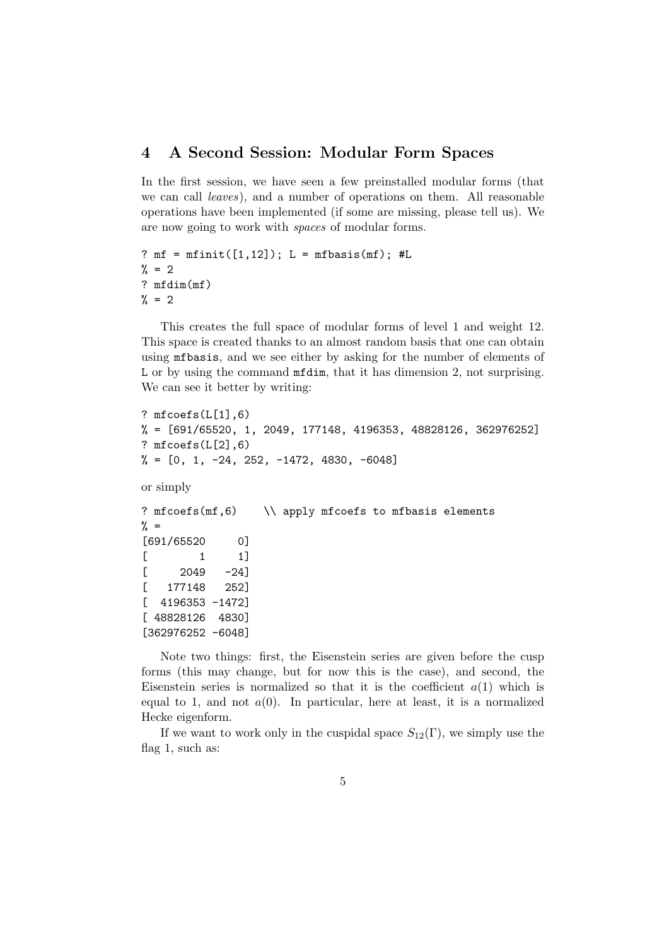# 4 A Second Session: Modular Form Spaces

In the first session, we have seen a few preinstalled modular forms (that we can call leaves), and a number of operations on them. All reasonable operations have been implemented (if some are missing, please tell us). We are now going to work with spaces of modular forms.

```
? mf = mfinite([1, 12]); L = mfbasis(mf); #L
\frac{9}{6} = 2
? mfdim(mf)
\frac{9}{6} = 2
```
This creates the full space of modular forms of level 1 and weight 12. This space is created thanks to an almost random basis that one can obtain using mfbasis, and we see either by asking for the number of elements of L or by using the command mfdim, that it has dimension 2, not surprising. We can see it better by writing:

```
? mfoefs(L[1], 6)% = [691/65520, 1, 2049, 177148, 4196353, 48828126, 362976252]
? mfoefs(L[2], 6)\% = [0, 1, -24, 252, -1472, 4830, -6048]or simply
? mfcoefs(mf,6) \\ apply mfcoefs to mfbasis elements
\% =[691/65520 0]
[ 1 1]
[- 2049 -24][ 177148 252]
[ 4196353 -1472]
[ 48828126 4830]
[362976252 -6048]
```
Note two things: first, the Eisenstein series are given before the cusp forms (this may change, but for now this is the case), and second, the Eisenstein series is normalized so that it is the coefficient  $a(1)$  which is equal to 1, and not  $a(0)$ . In particular, here at least, it is a normalized Hecke eigenform.

If we want to work only in the cuspidal space  $S_{12}(\Gamma)$ , we simply use the flag 1, such as: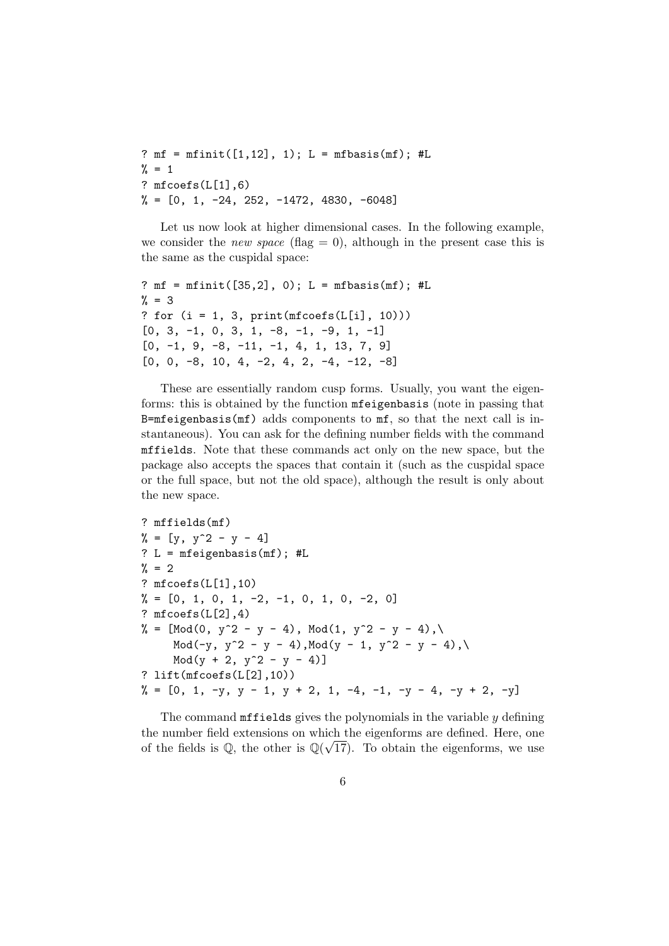?  $mf = mfinite([1, 12], 1); L = mfbasis(mf); #L$  $\frac{9}{6}$  = 1 ?  $mfoefs(L[1], 6)$  $\% = \begin{bmatrix} 0, 1, -24, 252, -1472, 4830, -6048 \end{bmatrix}$ 

Let us now look at higher dimensional cases. In the following example, we consider the *new space* (flag  $= 0$ ), although in the present case this is the same as the cuspidal space:

```
? mf = mfinit([35,2], 0); L = mfbasis(mf); #L
\% = 3? for (i = 1, 3, print(mfcoeff([i], 10)))[0, 3, -1, 0, 3, 1, -8, -1, -9, 1, -1][0, -1, 9, -8, -11, -1, 4, 1, 13, 7, 9][0, 0, -8, 10, 4, -2, 4, 2, -4, -12, -8]
```
These are essentially random cusp forms. Usually, you want the eigenforms: this is obtained by the function mfeigenbasis (note in passing that B=mfeigenbasis(mf) adds components to mf, so that the next call is instantaneous). You can ask for the defining number fields with the command mffields. Note that these commands act only on the new space, but the package also accepts the spaces that contain it (such as the cuspidal space or the full space, but not the old space), although the result is only about the new space.

```
? mffields(mf)
\% = [y, y^2 - y - 4]? L = mfeigenbasis(mf); #L
\frac{9}{6} = 2
? mfcoefs(L[1],10)
\% = [0, 1, 0, 1, -2, -1, 0, 1, 0, -2, 0]? mfcoefs(L[2], 4)% = [Mod(0, y^2 - y - 4), Mod(1, y^2 - y - 4),\
     Mod(-y, y^2 - y - 4),Mod(y - 1, y^2 - y - 4),
     Mod(y + 2, y^2 - y - 4)]? lift(mfcoefs(L[2],10))
% = [0, 1, -y, y - 1, y + 2, 1, -4, -1, -y - 4, -y + 2, -y]
```
The command  $m$ ffields gives the polynomials in the variable  $y$  defining the number field extensions on which the eigenforms are defined. Here, one of the fields is  $\mathbb{Q}$ , the other is  $\mathbb{Q}(\sqrt{17})$ . To obtain the eigenforms, we use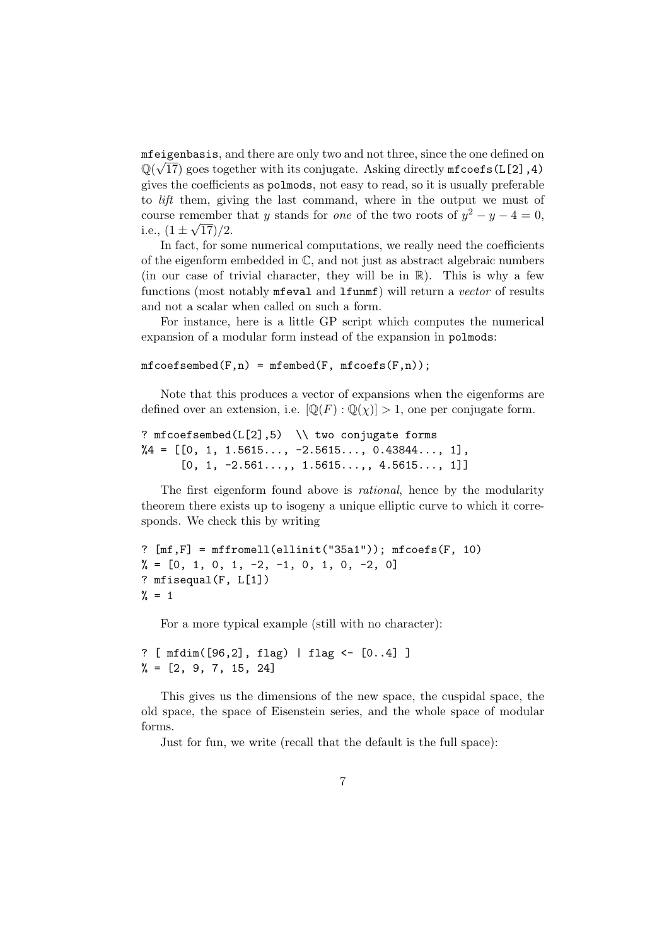mfeigenbasis, and there are only two and not three, since the one defined on √  $\mathbb{Q}(\sqrt{17})$  goes together with its conjugate. Asking directly  $\texttt{mfcoefs(L[2],4)}$ gives the coefficients as polmods, not easy to read, so it is usually preferable to lift them, giving the last command, where in the output we must of course remember that y stands for one of the two roots of  $y^2 - y - 4 = 0$ , i.e.,  $(1 \pm \sqrt{17})/2$ .

In fact, for some numerical computations, we really need the coefficients of the eigenform embedded in C, and not just as abstract algebraic numbers (in our case of trivial character, they will be in  $\mathbb{R}$ ). This is why a few functions (most notably mfeval and lfunmf) will return a vector of results and not a scalar when called on such a form.

For instance, here is a little GP script which computes the numerical expansion of a modular form instead of the expansion in polmods:

```
mfcoeffm = mfened(F,n) = mfend(F, m);
```
Note that this produces a vector of expansions when the eigenforms are defined over an extension, i.e.  $[\mathbb{Q}(F):\mathbb{Q}(\chi)] > 1$ , one per conjugate form.

```
? mfcoefsembed(L[2],5) \\ two conjugate forms
\%4 = [[0, 1, 1.5615...,-2.5615..., 0.43844..., 1],[0, 1, -2.561...,, 1.5615..., 4.5615..., 1]
```
The first eigenform found above is *rational*, hence by the modularity theorem there exists up to isogeny a unique elliptic curve to which it corresponds. We check this by writing

```
? [mf,F] = mffromell(ellinit("35a1")); mfcoefs(F, 10)
\% = [0, 1, 0, 1, -2, -1, 0, 1, 0, -2, 0]? mfisequal(F, L[1])
\frac{9}{6} = 1
```
For a more typical example (still with no character):

```
? [ mfdim([96,2], flag) | flag <- [0..4] ]
\% = [2, 9, 7, 15, 24]
```
This gives us the dimensions of the new space, the cuspidal space, the old space, the space of Eisenstein series, and the whole space of modular forms.

Just for fun, we write (recall that the default is the full space):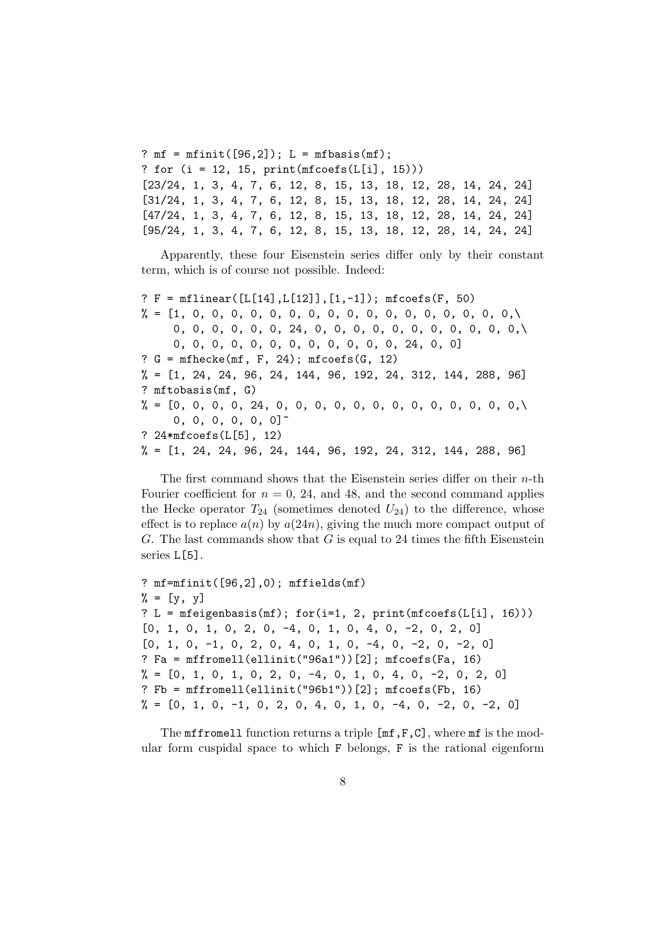?  $mf = mfinite([96, 2])$ ;  $L = mfbasis(mf)$ ; ? for (i = 12, 15, print(mfcoefs(L[i], 15))) [23/24, 1, 3, 4, 7, 6, 12, 8, 15, 13, 18, 12, 28, 14, 24, 24] [31/24, 1, 3, 4, 7, 6, 12, 8, 15, 13, 18, 12, 28, 14, 24, 24] [47/24, 1, 3, 4, 7, 6, 12, 8, 15, 13, 18, 12, 28, 14, 24, 24] [95/24, 1, 3, 4, 7, 6, 12, 8, 15, 13, 18, 12, 28, 14, 24, 24]

Apparently, these four Eisenstein series differ only by their constant term, which is of course not possible. Indeed:

? F = mflinear([L[14],L[12]],[1,-1]); mfcoefs(F, 50) % = [1, 0, 0, 0, 0, 0, 0, 0, 0, 0, 0, 0, 0, 0, 0, 0, 0, 0,\  $0, 0, 0, 0, 0, 0, 24, 0, 0, 0, 0, 0, 0, 0, 0, 0, 0, 0,$ 0, 0, 0, 0, 0, 0, 0, 0, 0, 0, 0, 0, 24, 0, 0] ?  $G = m$ fhecke(mf, F, 24);  $m$ fcoefs( $G$ , 12)  $\% = \{1, 24, 24, 96, 24, 144, 96, 192, 24, 312, 144, 288, 96\}$ ? mftobasis(mf, G) % = [0, 0, 0, 0, 24, 0, 0, 0, 0, 0, 0, 0, 0, 0, 0, 0, 0, 0,\ 0, 0, 0, 0, 0, 0]~ ? 24\*mfcoefs(L[5], 12)  $\% = \begin{bmatrix} 1, 24, 24, 96, 24, 144, 96, 192, 24, 312, 144, 288, 96 \end{bmatrix}$ 

The first command shows that the Eisenstein series differ on their  $n$ -th Fourier coefficient for  $n = 0, 24,$  and 48, and the second command applies the Hecke operator  $T_{24}$  (sometimes denoted  $U_{24}$ ) to the difference, whose effect is to replace  $a(n)$  by  $a(24n)$ , giving the much more compact output of G. The last commands show that  $G$  is equal to 24 times the fifth Eisenstein series L[5].

```
? mf=mfinit([96,2],0); mffields(mf)
\% = [y, y]? L = mfeigenbasis(mf); for(i=1, 2, print(mfcoefs(L[i], 16)))
[0, 1, 0, 1, 0, 2, 0, -4, 0, 1, 0, 4, 0, -2, 0, 2, 0]
[0, 1, 0, -1, 0, 2, 0, 4, 0, 1, 0, -4, 0, -2, 0, -2, 0]
? Fa = mffromell(ellinit("96a1"))[2]; mfcoefs(Fa, 16)
\% = \begin{bmatrix} 0, 1, 0, 1, 0, 2, 0, -4, 0, 1, 0, 4, 0, -2, 0, 2, 0 \end{bmatrix}? Fb = mffromell(ellinit("96b1"))[2]; mfcoefs(Fb, 16)
\% = \begin{bmatrix} 0 & 1 & 0 & -1 & 0 & 2 & 0 & 4 & 0 & 1 & 0 & -4 & 0 & -2 & 0 & -2 & 0 \end{bmatrix}
```
The mffromell function returns a triple  $[mf, F, C]$ , where mf is the modular form cuspidal space to which F belongs, F is the rational eigenform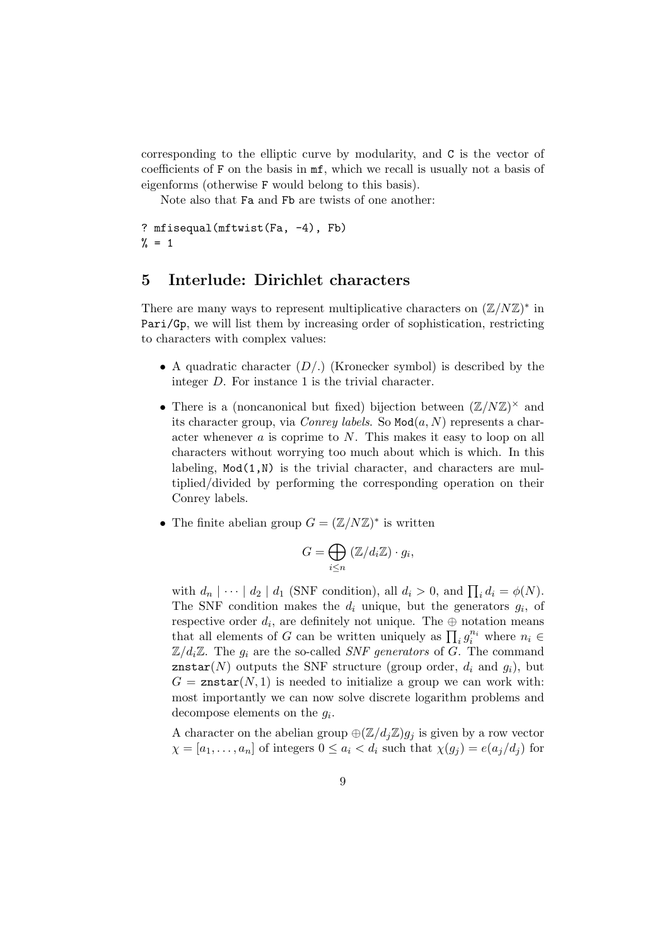corresponding to the elliptic curve by modularity, and C is the vector of coefficients of F on the basis in mf, which we recall is usually not a basis of eigenforms (otherwise F would belong to this basis).

Note also that Fa and Fb are twists of one another:

```
? mfisequal(mftwist(Fa, -4), Fb)
\frac{9}{6} = 1
```
### 5 Interlude: Dirichlet characters

There are many ways to represent multiplicative characters on  $(\mathbb{Z}/N\mathbb{Z})^*$  in Pari/Gp, we will list them by increasing order of sophistication, restricting to characters with complex values:

- A quadratic character  $(D)$ . (Kronecker symbol) is described by the integer D. For instance 1 is the trivial character.
- There is a (noncanonical but fixed) bijection between  $(\mathbb{Z}/N\mathbb{Z})^{\times}$  and its character group, via *Conrey labels*. So  $Mod(a, N)$  represents a character whenever  $a$  is coprime to  $N$ . This makes it easy to loop on all characters without worrying too much about which is which. In this labeling,  $Mod(1,N)$  is the trivial character, and characters are multiplied/divided by performing the corresponding operation on their Conrey labels.
- The finite abelian group  $G = (\mathbb{Z}/N\mathbb{Z})^*$  is written

$$
G = \bigoplus_{i \leq n} (\mathbb{Z}/d_i\mathbb{Z}) \cdot g_i,
$$

with  $d_n | \cdots | d_2 | d_1$  (SNF condition), all  $d_i > 0$ , and  $\prod_i d_i = \phi(N)$ . The SNF condition makes the  $d_i$  unique, but the generators  $g_i$ , of respective order  $d_i$ , are definitely not unique. The  $\oplus$  notation means that all elements of G can be written uniquely as  $\prod_i g_i^{n_i}$  where  $n_i \in$  $\mathbb{Z}/d_i\mathbb{Z}$ . The  $g_i$  are the so-called SNF generators of G. The command znstar(N) outputs the SNF structure (group order,  $d_i$  and  $g_i$ ), but  $G = \text{znstar}(N, 1)$  is needed to initialize a group we can work with: most importantly we can now solve discrete logarithm problems and decompose elements on the  $g_i$ .

A character on the abelian group  $\oplus (\mathbb{Z}/d_i\mathbb{Z})g_i$  is given by a row vector  $\chi = [a_1, \ldots, a_n]$  of integers  $0 \le a_i < d_i$  such that  $\chi(g_j) = e(a_j/d_j)$  for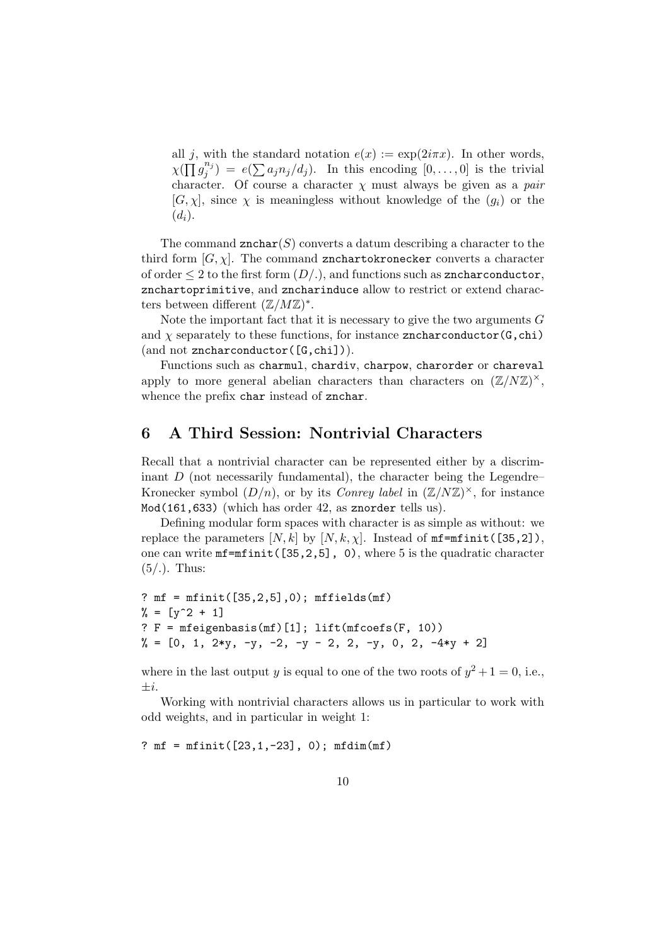all j, with the standard notation  $e(x) := \exp(2i\pi x)$ . In other words,  $\chi(\prod^{\bullet} g_i^{n_j})$  $j^{(n_j)}_j = e(\sum a_j n_j/d_j)$ . In this encoding  $[0,\ldots,0]$  is the trivial character. Of course a character  $\chi$  must always be given as a *pair*  $[G, \chi]$ , since  $\chi$  is meaningless without knowledge of the  $(g_i)$  or the  $(d_i).$ 

The command  $\texttt{znchar}(S)$  converts a datum describing a character to the third form  $[G, \chi]$ . The command znchartokronecker converts a character of order  $\leq 2$  to the first form  $(D_1)$ , and functions such as zncharconductor, znchartoprimitive, and zncharinduce allow to restrict or extend characters between different  $(\mathbb{Z}/M\mathbb{Z})^*$ .

Note the important fact that it is necessary to give the two arguments  $G$ and  $\chi$  separately to these functions, for instance zncharconductor( $G$ ,chi) (and not zncharconductor([G,chi])).

Functions such as charmul, chardiv, charpow, charorder or chareval apply to more general abelian characters than characters on  $(\mathbb{Z}/N\mathbb{Z})^{\times}$ , whence the prefix char instead of znchar.

### 6 A Third Session: Nontrivial Characters

Recall that a nontrivial character can be represented either by a discriminant  $D$  (not necessarily fundamental), the character being the Legendre– Kronecker symbol  $(D/n)$ , or by its *Conrey label* in  $(\mathbb{Z}/N\mathbb{Z})^{\times}$ , for instance Mod(161,633) (which has order 42, as znorder tells us).

Defining modular form spaces with character is as simple as without: we replace the parameters  $[N, k]$  by  $[N, k, \chi]$ . Instead of  $\text{mf=minit}([35, 2])$ , one can write mf=mfinit([35,2,5], 0), where 5 is the quadratic character  $(5/.)$ . Thus:

```
? mf = mfinit([35,2,5],0); mffields(mf)
\% = [y^2 + 1]? F = mfeigenbasis(mf)[1]; lift(mfcoefs(F, 10))
% = [0, 1, 2*y, -y, -2, -y - 2, 2, -y, 0, 2, -4*y + 2]
```
where in the last output y is equal to one of the two roots of  $y^2 + 1 = 0$ , i.e.,  $\pm i$ .

Working with nontrivial characters allows us in particular to work with odd weights, and in particular in weight 1:

? mf = mfinit([23,1,-23], 0); mfdim(mf)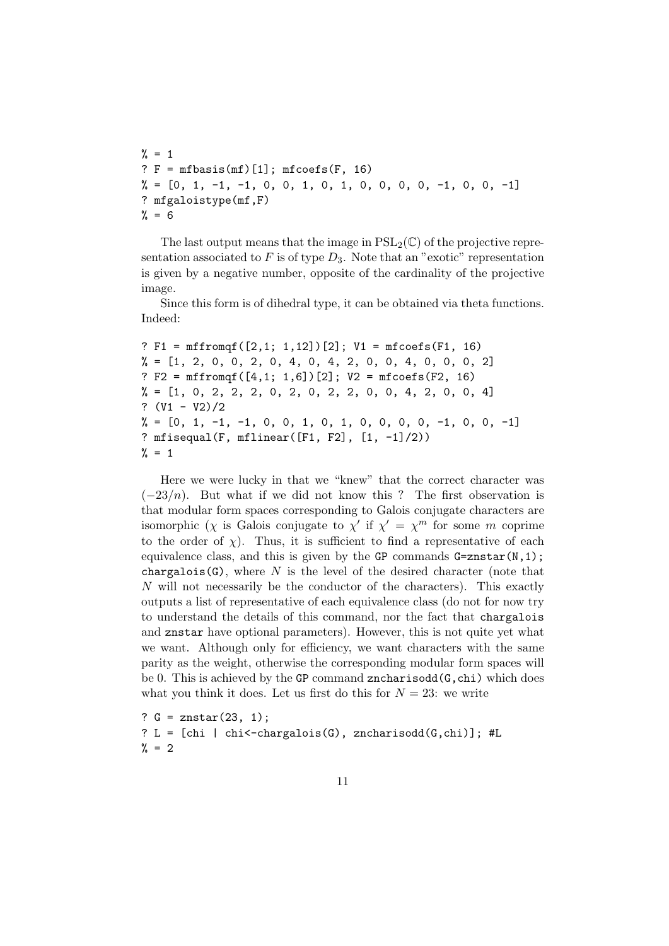```
\frac{9}{6} = 1
? F = mfbasis(mf)[1]; mfooefs(F, 16)\% = \begin{bmatrix} 0 & 1 & -1 & -1 \\ 0 & 0 & 1 & 0 \\ 0 & 0 & 1 & 0 \\ 0 & 0 & 0 & 0 \\ 0 & 0 & 0 & 0 \\ 0 & 0 & 0 & 0 \\ 0 & 0 & 0 & 0 \\ 0 & 0 & 0 & 0 \\ 0 & 0 & 0 & 0 \\ 0 & 0 & 0 & 0 \\ 0 & 0 & 0 & 0 \\ 0 & 0 & 0 & 0 \\ 0 & 0 & 0 & 0 \\ 0 & 0 & 0 & 0 \\ 0 & 0 & 0 & 0 \\ 0 & 0 & 0 & 0 \\ 0 & 0 & 0 & 0 \\ 0 & 0 & ? mfgaloistype(mf,F)
% = 6
```
The last output means that the image in  $PSL_2(\mathbb{C})$  of the projective representation associated to F is of type  $D_3$ . Note that an "exotic" representation is given by a negative number, opposite of the cardinality of the projective image.

Since this form is of dihedral type, it can be obtained via theta functions. Indeed:

```
? F1 = mffromqf([2,1; 1,12])[2]; V1 = mfcoefs(F1, 16)
\% = \begin{bmatrix} 1, 2, 0, 0, 2, 0, 4, 0, 4, 2, 0, 0, 4, 0, 0, 0, 2 \end{bmatrix}? F2 = mffromqf([4,1; 1,6])[2]; V2 = mfcoefs(F2, 16)
\% = \begin{bmatrix} 1, 0, 2, 2, 2, 0, 2, 0, 2, 2, 0, 0, 4, 2, 0, 0, 4 \end{bmatrix}? (V1 - V2)/2\% = \begin{bmatrix} 0 & 1 & -1 & -1 \\ 0 & 0 & 0 & 1 \\ 0 & 0 & 1 & 0 \\ 0 & 0 & 0 & 0 \\ 0 & 0 & 0 & 0 \\ 0 & 0 & 0 & 0 \\ 0 & 0 & 0 & 0 \\ 0 & 0 & 0 & 0 \\ 0 & 0 & 0 & 0 \\ 0 & 0 & 0 & 0 \\ 0 & 0 & 0 & 0 \\ 0 & 0 & 0 & 0 \\ 0 & 0 & 0 & 0 \\ 0 & 0 & 0 & 0 \\ 0 & 0 & 0 & 0 \\ 0 & 0 & 0 & 0 \\ 0 & 0 & 0 & 0 \\ 0 & 0 & ? mfisequal(F, mflinear([F1, F2], [1, -1]/2))
\% = 1
```
Here we were lucky in that we "knew" that the correct character was  $(-23/n)$ . But what if we did not know this ? The first observation is that modular form spaces corresponding to Galois conjugate characters are isomorphic ( $\chi$  is Galois conjugate to  $\chi'$  if  $\chi' = \chi^m$  for some m coprime to the order of  $\chi$ ). Thus, it is sufficient to find a representative of each equivalence class, and this is given by the GP commands  $G=znstar(N,1);$ chargalois(G), where  $N$  is the level of the desired character (note that N will not necessarily be the conductor of the characters). This exactly outputs a list of representative of each equivalence class (do not for now try to understand the details of this command, nor the fact that chargalois and znstar have optional parameters). However, this is not quite yet what we want. Although only for efficiency, we want characters with the same parity as the weight, otherwise the corresponding modular form spaces will be 0. This is achieved by the GP command  $zncharisodd(G,chi)$  which does what you think it does. Let us first do this for  $N = 23$ : we write

```
? G = \text{znstar}(23, 1);? L = [chi | chi<-chargalois(G), zncharisodd(G,chi)]; #L
\frac{9}{6} = 2
```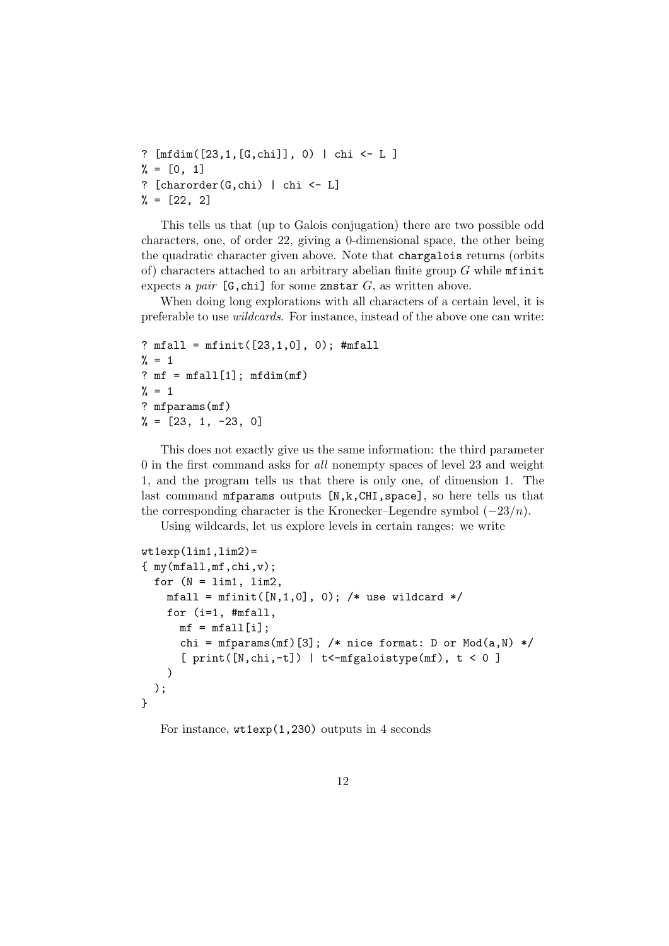? [mfdim([23,1,[G,chi]], 0) | chi <- L ]  $\% = [0, 1]$ ? [charorder(G,chi) | chi <- L]  $\% = [22, 2]$ 

This tells us that (up to Galois conjugation) there are two possible odd characters, one, of order 22, giving a 0-dimensional space, the other being the quadratic character given above. Note that chargalois returns (orbits of) characters attached to an arbitrary abelian finite group  $G$  while  $\text{minit}$ expects a pair  $[G, chi]$  for some znstar  $G$ , as written above.

When doing long explorations with all characters of a certain level, it is preferable to use wildcards. For instance, instead of the above one can write:

```
? mfall = mfinite([23, 1, 0], 0); #mfall\frac{9}{6} = 1
? mf = mfall[1]; mfdim(mf)\frac{9}{6} = 1
? mfparams(mf)
\% = [23, 1, -23, 0]
```
This does not exactly give us the same information: the third parameter 0 in the first command asks for all nonempty spaces of level 23 and weight 1, and the program tells us that there is only one, of dimension 1. The last command mfparams outputs [N, k, CHI, space], so here tells us that the corresponding character is the Kronecker–Legendre symbol  $(-23/n)$ .

Using wildcards, let us explore levels in certain ranges: we write

```
wt1exp(lim1,lim2)=
{ my(mfall,mf,chi,v);
  for (N = lim1, lim2,mfall = mfinite([N,1,0], 0); /* use wildcard */
    for (i=1, #mfall,
      mf = mfall[i];chi = mfparams(mf)[3]; /* nice format: D or Mod(a, N) */
      [ print([N, chi, -t]) | t<-mfgaloistype(mf), t < 0 ]
    \lambda);
}
```
For instance, wt1exp(1,230) outputs in 4 seconds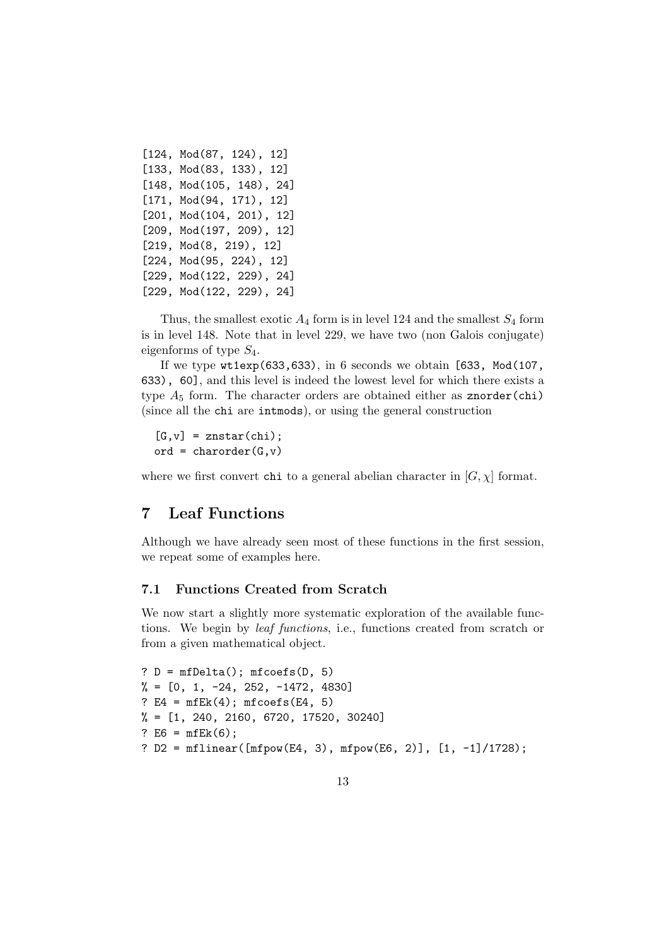```
[124, Mod(87, 124), 12]
[133, Mod(83, 133), 12]
[148, Mod(105, 148), 24]
[171, Mod(94, 171), 12]
[201, Mod(104, 201), 12]
[209, Mod(197, 209), 12]
[219, Mod(8, 219), 12]
[224, Mod(95, 224), 12]
[229, Mod(122, 229), 24]
[229, Mod(122, 229), 24]
```
Thus, the smallest exotic  $A_4$  form is in level 124 and the smallest  $S_4$  form is in level 148. Note that in level 229, we have two (non Galois conjugate) eigenforms of type  $S_4$ .

If we type wt1exp(633,633), in 6 seconds we obtain [633, Mod(107, 633), 60], and this level is indeed the lowest level for which there exists a type  $A_5$  form. The character orders are obtained either as znorder(chi) (since all the chi are intmods), or using the general construction

```
[G, v] = znstar(chi);ord = character(G, v)
```
where we first convert chi to a general abelian character in  $[G, \chi]$  format.

# 7 Leaf Functions

Although we have already seen most of these functions in the first session, we repeat some of examples here.

#### 7.1 Functions Created from Scratch

We now start a slightly more systematic exploration of the available functions. We begin by leaf functions, i.e., functions created from scratch or from a given mathematical object.

```
? D = mfDelta(); mfcoeff(D, 5)\% = \begin{bmatrix} 0, 1, -24, 252, -1472, 4830 \end{bmatrix}? E4 = mfEk(4); mfcoefs(E4, 5)% = [1, 240, 2160, 6720, 17520, 30240]? E6 = mfEk(6);
? D2 = mflinear([mfpow(E4, 3), mfpow(E6, 2)], [1, -1]/1728);
```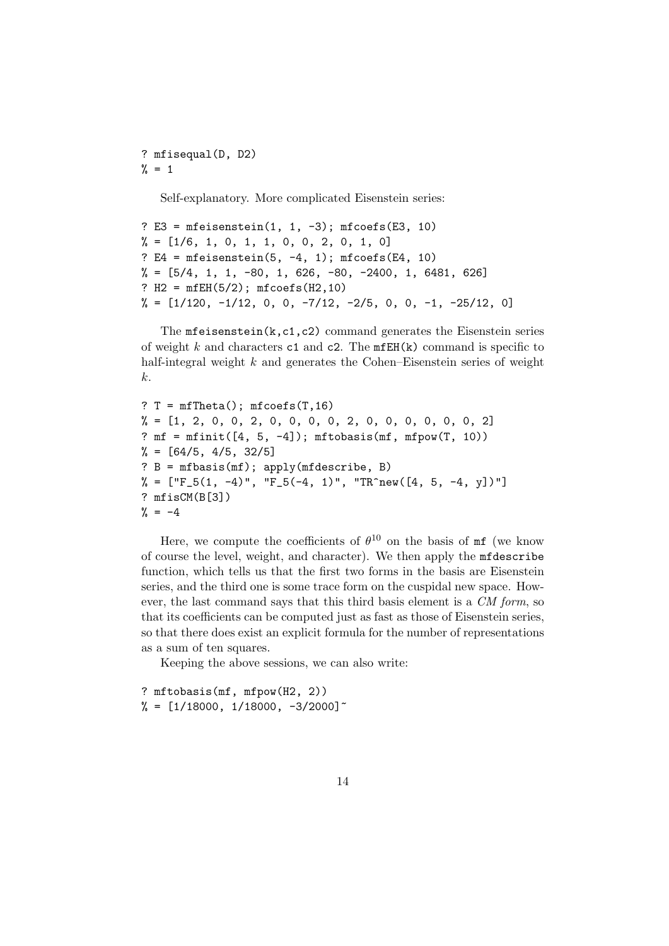? mfisequal(D, D2)  $\frac{9}{6}$  = 1

Self-explanatory. More complicated Eisenstein series:

```
? E3 = mfeisenstein(1, 1, -3); mfcoefs(E3, 10)
\frac{9}{6} = [1/6, 1, 0, 1, 1, 0, 0, 2, 0, 1, 0]? E4 = mfeisenstein(5, -4, 1); mfcoefs(E4, 10)\% = \begin{bmatrix} 5/4, 1, 1, -80, 1, 626, -80, -2400, 1, 6481, 626 \end{bmatrix}? H2 = mfEH(5/2); mfcoefs(H2,10)
\frac{9}{6} = [1/120, -1/12, 0, 0, -7/12, -2/5, 0, 0, -1, -25/12, 0]
```
The mfeisenstein $(k, c1, c2)$  command generates the Eisenstein series of weight k and characters c1 and c2. The  $mE(H(k))$  command is specific to half-integral weight  $k$  and generates the Cohen–Eisenstein series of weight k.

?  $T = mfTheta()$ ;  $mfcoeff(S(T,16))$  $\% = \begin{bmatrix} 1, 2, 0, 0, 2, 0, 0, 0, 2, 0, 0, 0, 0, 0, 0, 0, 2 \end{bmatrix}$ ?  $mf = mfinite([4, 5, -4])$ ;  $mftobasis(mf, mfpow(T, 10))$  $% = [64/5, 4/5, 32/5]$ ? B = mfbasis(mf); apply(mfdescribe, B)  $\% = [\text{''F}_5(1, -4)$ ", "F<sub>-5</sub> $(-4, 1)$ ", "TR^new([4, 5, -4, y])"] ? mfisCM(B[3])  $\% = -4$ 

Here, we compute the coefficients of  $\theta^{10}$  on the basis of mf (we know of course the level, weight, and character). We then apply the mfdescribe function, which tells us that the first two forms in the basis are Eisenstein series, and the third one is some trace form on the cuspidal new space. However, the last command says that this third basis element is a CM form, so that its coefficients can be computed just as fast as those of Eisenstein series, so that there does exist an explicit formula for the number of representations as a sum of ten squares.

Keeping the above sessions, we can also write:

? mftobasis(mf, mfpow(H2, 2))  $\frac{9}{6}$  = [1/18000, 1/18000, -3/2000]<sup> $\sim$ </sup>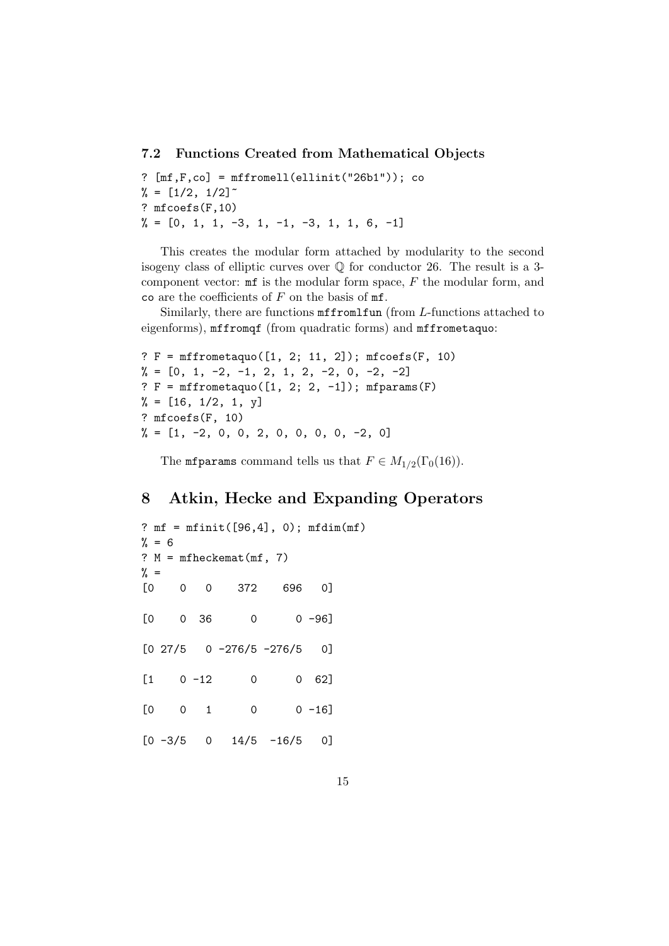#### 7.2 Functions Created from Mathematical Objects

?  $[mf, F, co] = mffromell(ellinit("26b1"))$ ; co  $\% = [1/2, 1/2]$ ? mfcoefs(F,10)  $\% = \begin{bmatrix} 0, 1, 1, -3, 1, -1, -3, 1, 1, 6, -1 \end{bmatrix}$ 

This creates the modular form attached by modularity to the second isogeny class of elliptic curves over  $\mathbb Q$  for conductor 26. The result is a 3component vector:  $m\mathbf{f}$  is the modular form space,  $F$  the modular form, and co are the coefficients of  $F$  on the basis of  $m\text{f}$ .

Similarly, there are functions mffromlfun (from L-functions attached to eigenforms), mffromqf (from quadratic forms) and mffrometaquo:

```
? F = mffrometaquo([1, 2; 11, 2]); mfcoefs(F, 10)
\% = \begin{bmatrix} 0, 1, -2, -1, 2, 1, 2, -2, 0, -2, -2 \end{bmatrix}? F = mffrometa quo([1, 2; 2, -1]); mfparams(F)\frac{9}{6} = [16, 1/2, 1, y]
? mfcoefs(F, 10)
\% = [1, -2, 0, 0, 2, 0, 0, 0, 0, -2, 0]
```
The **mfparams** command tells us that  $F \in M_{1/2}(\Gamma_0(16)).$ 

# 8 Atkin, Hecke and Expanding Operators

```
? mf = mfinit([96,4], 0); mfdim(mf)
% = 6? M = mfheckemat(mf, 7)\% =[0 0 0 372 696 0]
[0 \t 0 \t 36 \t 0 \t 0 \t -96][0 27/5 0 -276/5 -276/5 0][1 \t 0 \t -12 \t 0 \t 0 \t 62]\begin{bmatrix} 0 & 0 & 1 & 0 & 0 & -16 \end{bmatrix}[0 -3/5 \t 0 \t 14/5 \t -16/5 \t 0]
```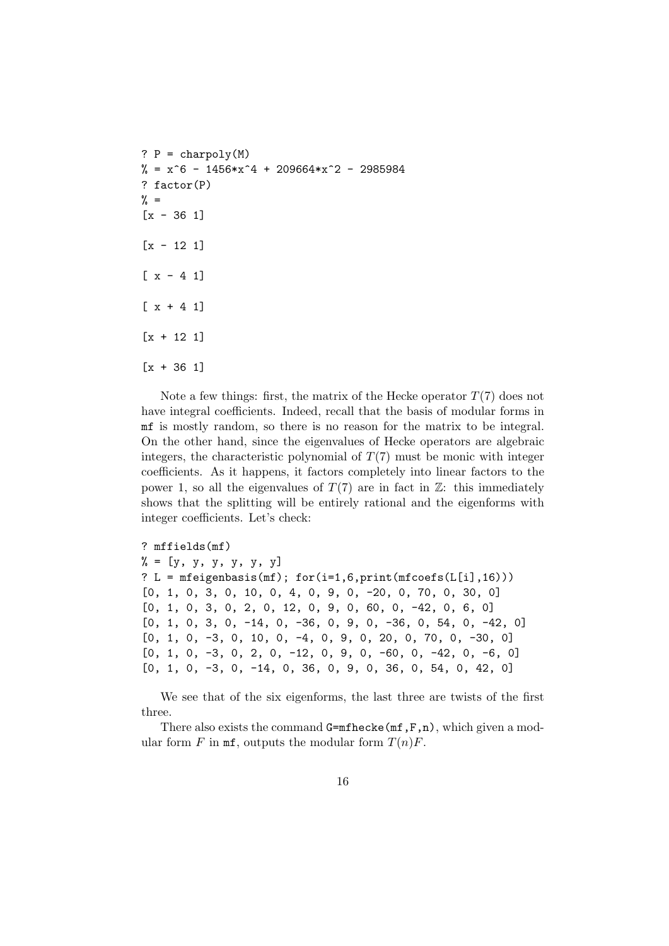```
? P = \text{charpoly}(M)\% = x^6 - 1456*x^4 + 209664*x^2 - 2985984? factor(P)
\% =[x - 36 1][x - 12 1][x - 4 1][x + 4 1][x + 12 1][x + 36 1]
```
Note a few things: first, the matrix of the Hecke operator  $T(7)$  does not have integral coefficients. Indeed, recall that the basis of modular forms in mf is mostly random, so there is no reason for the matrix to be integral. On the other hand, since the eigenvalues of Hecke operators are algebraic integers, the characteristic polynomial of  $T(7)$  must be monic with integer coefficients. As it happens, it factors completely into linear factors to the power 1, so all the eigenvalues of  $T(7)$  are in fact in  $\mathbb{Z}$ : this immediately shows that the splitting will be entirely rational and the eigenforms with integer coefficients. Let's check:

```
? mffields(mf)
% = [y, y, y, y, y, y]? L = mfeigenbasis(mf); for(i=1,6,print(mfcoefs(L[i],16)))
[0, 1, 0, 3, 0, 10, 0, 4, 0, 9, 0, -20, 0, 70, 0, 30, 0]
[0, 1, 0, 3, 0, 2, 0, 12, 0, 9, 0, 60, 0, -42, 0, 6, 0]
[0, 1, 0, 3, 0, -14, 0, -36, 0, 9, 0, -36, 0, 54, 0, -42, 0][0, 1, 0, -3, 0, 10, 0, -4, 0, 9, 0, 20, 0, 70, 0, -30, 0]
[0, 1, 0, -3, 0, 2, 0, -12, 0, 9, 0, -60, 0, -42, 0, -6, 0]
[0, 1, 0, -3, 0, -14, 0, 36, 0, 9, 0, 36, 0, 54, 0, 42, 0]
```
We see that of the six eigenforms, the last three are twists of the first three.

There also exists the command  $G=m$ fhecke $(mf, F, n)$ , which given a modular form F in  $\mathbf{m}$  f, outputs the modular form  $T(n)F$ .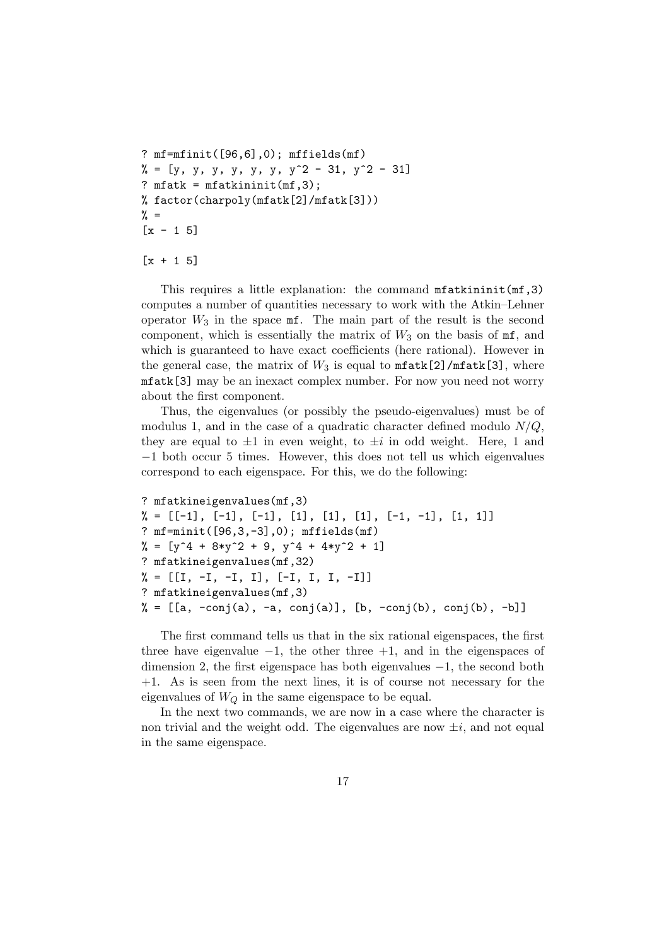```
? mf=mfinit([96,6],0); mffields(mf)
\% = [y, y, y, y, y, y, y^2 - 31, y^2 - 31]? mfatk = mfatkininit(mf,3);% factor(charpoly(mfatk[2]/mfatk[3]))
\% =
[x - 1 5]
```

```
[x + 1 5]
```
This requires a little explanation: the command  $m$ fatkininit( $m$ f,3) computes a number of quantities necessary to work with the Atkin–Lehner operator  $W_3$  in the space  $m$ **f**. The main part of the result is the second component, which is essentially the matrix of  $W_3$  on the basis of  $m\text{f}$ , and which is guaranteed to have exact coefficients (here rational). However in the general case, the matrix of  $W_3$  is equal to  $m$ fatk[2]/mfatk[3], where mfatk[3] may be an inexact complex number. For now you need not worry about the first component.

Thus, the eigenvalues (or possibly the pseudo-eigenvalues) must be of modulus 1, and in the case of a quadratic character defined modulo  $N/Q$ , they are equal to  $\pm 1$  in even weight, to  $\pm i$  in odd weight. Here, 1 and −1 both occur 5 times. However, this does not tell us which eigenvalues correspond to each eigenspace. For this, we do the following:

```
? mfatkineigenvalues(mf,3)
\% = [[-1], [-1], [-1], [1], [1], [1], [-1, -1], [1, 1]]? mf=minit([96,3,-3],0); mffields(mf)
% = [y^4 + 8*y^2 + 9, y^4 + 4*y^2 + 1]? mfatkineigenvalues(mf,32)
\% = [[I, -I, -I, I], [-I, I, I, -I]]? mfatkineigenvalues(mf,3)
% = [[a, -conj(a), -a, conj(a)], [b, -conj(b), conj(b), -b]]
```
The first command tells us that in the six rational eigenspaces, the first three have eigenvalue  $-1$ , the other three  $+1$ , and in the eigenspaces of dimension 2, the first eigenspace has both eigenvalues −1, the second both +1. As is seen from the next lines, it is of course not necessary for the eigenvalues of  $W_Q$  in the same eigenspace to be equal.

In the next two commands, we are now in a case where the character is non trivial and the weight odd. The eigenvalues are now  $\pm i$ , and not equal in the same eigenspace.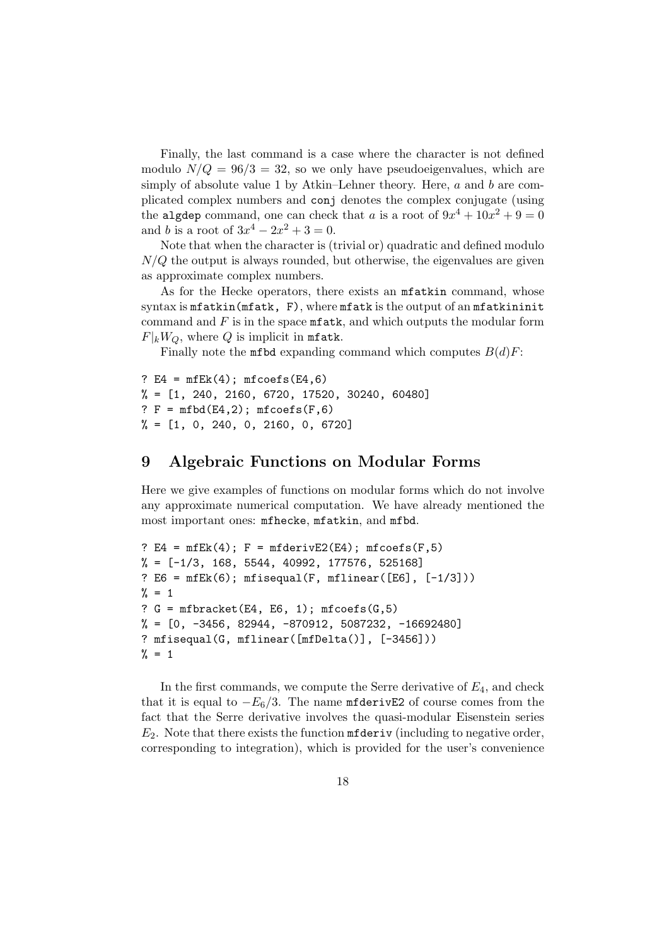Finally, the last command is a case where the character is not defined modulo  $N/Q = 96/3 = 32$ , so we only have pseudoeigenvalues, which are simply of absolute value 1 by Atkin–Lehner theory. Here,  $a$  and  $b$  are complicated complex numbers and conj denotes the complex conjugate (using the algdep command, one can check that  $a$  is a root of  $9x^4 + 10x^2 + 9 = 0$ and *b* is a root of  $3x^4 - 2x^2 + 3 = 0$ .

Note that when the character is (trivial or) quadratic and defined modulo  $N/Q$  the output is always rounded, but otherwise, the eigenvalues are given as approximate complex numbers.

As for the Hecke operators, there exists an mfatkin command, whose syntax is  $mfatkin(mfatk, F)$ , where  $mfatk$  is the output of an  $mfatkininit$ command and  $F$  is in the space  $m$  m at the modular form of the modular form  $F|_kW_Q$ , where Q is implicit in mfatk.

Finally note the **mfbd** expanding command which computes  $B(d)F$ :

```
? E4 = mfEk(4); mfcoefs(E4,6)\% = [1, 240, 2160, 6720, 17520, 30240, 60480]? F = mfbd(E4, 2); mfooefs(F, 6)\% = [1, 0, 240, 0, 2160, 0, 6720]
```
# 9 Algebraic Functions on Modular Forms

Here we give examples of functions on modular forms which do not involve any approximate numerical computation. We have already mentioned the most important ones: mfhecke, mfatkin, and mfbd.

? E4 =  $mfEk(4)$ ;  $F = mfderivE2(E4)$ ;  $mfcoeff(5)$  $\% = [-1/3, 168, 5544, 40992, 177576, 525168]$ ?  $E6 = mfEk(6)$ ;  $mfisequal(F, mflinear([E6], [-1/3]))$  $\frac{9}{6}$  = 1 ?  $G = mfbracket(E4, E6, 1)$ ;  $mfcoeff(G, 5)$  $% = [0, -3456, 82944, -870912, 5087232, -16692480]$ ? mfisequal(G, mflinear([mfDelta()], [-3456]))  $\% = 1$ 

In the first commands, we compute the Serre derivative of  $E_4$ , and check that it is equal to  $-E_6/3$ . The name mfderivE2 of course comes from the fact that the Serre derivative involves the quasi-modular Eisenstein series  $E_2$ . Note that there exists the function **mfderiv** (including to negative order, corresponding to integration), which is provided for the user's convenience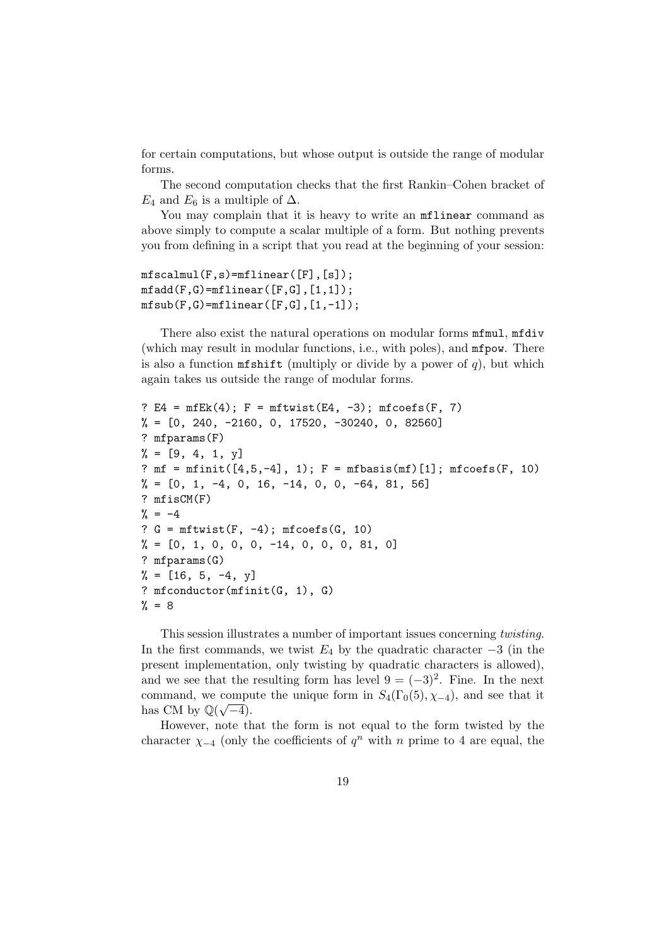for certain computations, but whose output is outside the range of modular forms.

The second computation checks that the first Rankin–Cohen bracket of  $E_4$  and  $E_6$  is a multiple of  $\Delta$ .

You may complain that it is heavy to write an mflinear command as above simply to compute a scalar multiple of a form. But nothing prevents you from defining in a script that you read at the beginning of your session:

```
mfscalmul(F,s)=mfilinear([F],[s]);mfadd(F,G)=mflinear([F,G],[1,1]);
mfsub(F,G)=mflinear([F,G],[1,-1]);
```
There also exist the natural operations on modular forms  $m$ fmul,  $m$ fdiv (which may result in modular functions, i.e., with poles), and mfpow. There is also a function **mfshift** (multiply or divide by a power of q), but which again takes us outside the range of modular forms.

```
? E4 = mfEk(4); F = mftwist(E4, -3); mfcoeff, 7)
% = [0, 240, -2160, 0, 17520, -30240, 0, 82560]? mfparams(F)
% = [9, 4, 1, y]? mf = mfinite([4, 5, -4], 1); F = mfbasis(mf)[1]; mfooefs(F, 10)\% = \begin{bmatrix} 0, 1, -4, 0, 16, -14, 0, 0, -64, 81, 56 \end{bmatrix}? mfisCM(F)
\frac{9}{6} = -4? G = mftwist(F, -4); mfoefs(G, 10)\% = \begin{bmatrix} 0, 1, 0, 0, 0, -14, 0, 0, 0, 81, 0 \end{bmatrix}? mfparams(G)
\% = [16, 5, -4, y]? mfconductor(mfinit(G, 1), G)
% = 8
```
This session illustrates a number of important issues concerning twisting. In the first commands, we twist  $E_4$  by the quadratic character  $-3$  (in the present implementation, only twisting by quadratic characters is allowed), and we see that the resulting form has level  $9 = (-3)^2$ . Fine. In the next command, we compute the unique form in  $S_4(\Gamma_0(5), \chi_{-4})$ , and see that it has CM by  $\mathbb{Q}(\sqrt{-4})$ .

However, note that the form is not equal to the form twisted by the character  $\chi_{-4}$  (only the coefficients of  $q^n$  with n prime to 4 are equal, the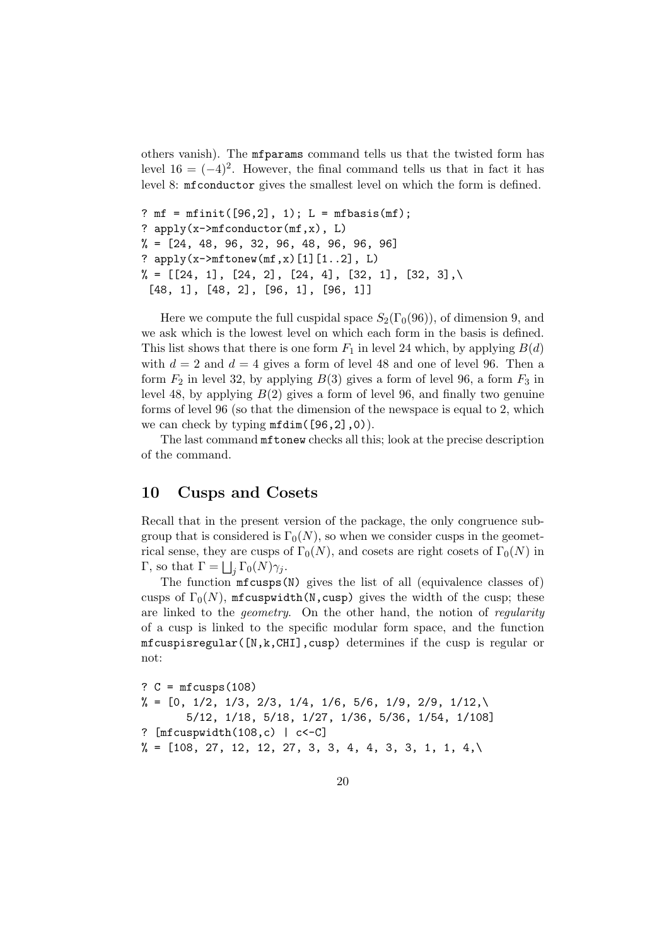others vanish). The mfparams command tells us that the twisted form has level  $16 = (-4)^2$ . However, the final command tells us that in fact it has level 8: mfconductor gives the smallest level on which the form is defined.

```
? mf = mfinit([96,2], 1); L = mfbasis(mf);
? apply(x->mfconductor(mf,x), L)
\% = [24, 48, 96, 32, 96, 48, 96, 96, 96]? apply(x->mftonew(mf,x)[1][1..2], L)\% = [[24, 1], [24, 2], [24, 4], [32, 1], [32, 3], \[48, 1], [48, 2], [96, 1], [96, 1]]
```
Here we compute the full cuspidal space  $S_2(\Gamma_0(96))$ , of dimension 9, and we ask which is the lowest level on which each form in the basis is defined. This list shows that there is one form  $F_1$  in level 24 which, by applying  $B(d)$ with  $d = 2$  and  $d = 4$  gives a form of level 48 and one of level 96. Then a form  $F_2$  in level 32, by applying  $B(3)$  gives a form of level 96, a form  $F_3$  in level 48, by applying  $B(2)$  gives a form of level 96, and finally two genuine forms of level 96 (so that the dimension of the newspace is equal to 2, which we can check by typing  $mfdim([96,2],0)$ .

The last command mftonew checks all this; look at the precise description of the command.

#### 10 Cusps and Cosets

Recall that in the present version of the package, the only congruence subgroup that is considered is  $\Gamma_0(N)$ , so when we consider cusps in the geometrical sense, they are cusps of  $\Gamma_0(N)$ , and cosets are right cosets of  $\Gamma_0(N)$  in Γ, so that  $\Gamma = \bigsqcup_j \Gamma_0(N) \gamma_j$ .

The function  $mfcusps(N)$  gives the list of all (equivalence classes of) cusps of  $\Gamma_0(N)$ , mfcuspwidth(N,cusp) gives the width of the cusp; these are linked to the geometry. On the other hand, the notion of regularity of a cusp is linked to the specific modular form space, and the function mfcuspisregular([N,k,CHI],cusp) determines if the cusp is regular or not:

?  $C = mfcusps(108)$  $\frac{9}{6}$  = [0, 1/2, 1/3, 2/3, 1/4, 1/6, 5/6, 1/9, 2/9, 1/12, 5/12, 1/18, 5/18, 1/27, 1/36, 5/36, 1/54, 1/108] ? [mfcuspwidth(108,c) | c<-C]  $\% = [108, 27, 12, 12, 27, 3, 3, 4, 4, 3, 3, 1, 1, 4]$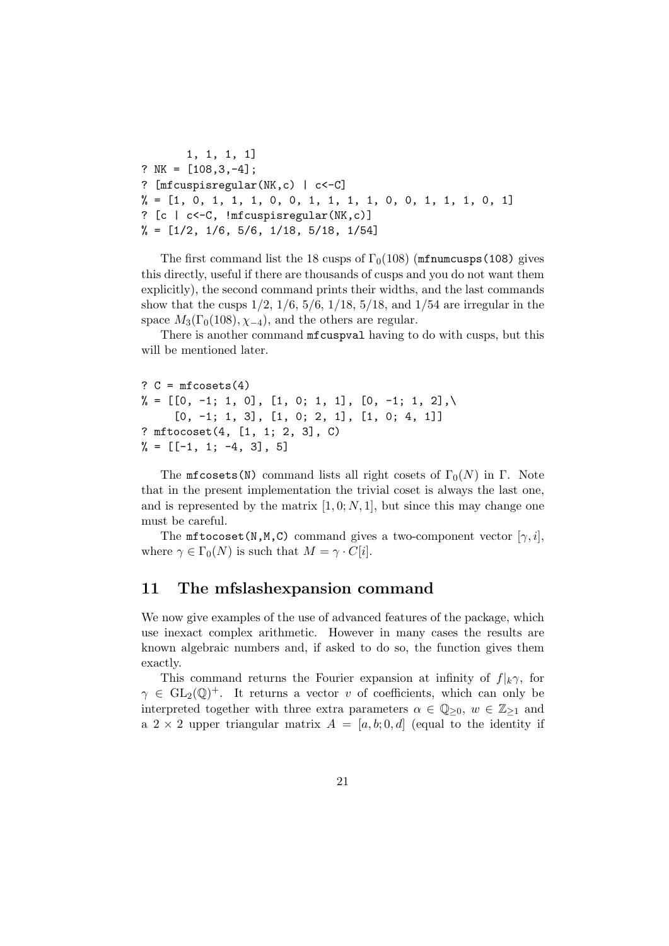```
1, 1, 1, 1]
? NK = [108, 3, -4];
? [mfcuspisregular(NK,c) | c<-C]
\% = [1, 0, 1, 1, 1, 0, 0, 1, 1, 1, 1, 0, 0, 1, 1, 1, 0, 1]? [c | c<-C, !mfcuspisregular(NK,c)]
\frac{9}{6} = [1/2, 1/6, 5/6, 1/18, 5/18, 1/54]
```
The first command list the 18 cusps of  $\Gamma_0(108)$  (mfnumcusps (108) gives this directly, useful if there are thousands of cusps and you do not want them explicitly), the second command prints their widths, and the last commands show that the cusps  $1/2$ ,  $1/6$ ,  $5/6$ ,  $1/18$ ,  $5/18$ , and  $1/54$  are irregular in the space  $M_3(\Gamma_0(108), \chi_{-4})$ , and the others are regular.

There is another command **mfcuspval** having to do with cusps, but this will be mentioned later.

```
? C = m f \cos \cos \left( 4 \right)\% = [[0, -1; 1, 0], [1, 0; 1, 1], [0, -1; 1, 2], \[0, -1; 1, 3], [1, 0; 2, 1], [1, 0; 4, 1]]
? mftocoset(4, [1, 1; 2, 3], C)
\% = \left[ \begin{bmatrix} -1, 1, -4, 3 \end{bmatrix}, 5 \right]
```
The mfcosets(N) command lists all right cosets of  $\Gamma_0(N)$  in Γ. Note that in the present implementation the trivial coset is always the last one, and is represented by the matrix  $[1, 0; N, 1]$ , but since this may change one must be careful.

The mftocoset(N,M,C) command gives a two-component vector  $[\gamma, i]$ , where  $\gamma \in \Gamma_0(N)$  is such that  $M = \gamma \cdot C[i]$ .

### 11 The mfslashexpansion command

We now give examples of the use of advanced features of the package, which use inexact complex arithmetic. However in many cases the results are known algebraic numbers and, if asked to do so, the function gives them exactly.

This command returns the Fourier expansion at infinity of  $f|_k\gamma$ , for  $\gamma \in GL_2(\mathbb{Q})^+$ . It returns a vector v of coefficients, which can only be interpreted together with three extra parameters  $\alpha \in \mathbb{Q}_{\geq 0}, w \in \mathbb{Z}_{\geq 1}$  and a 2 × 2 upper triangular matrix  $A = [a, b; 0, d]$  (equal to the identity if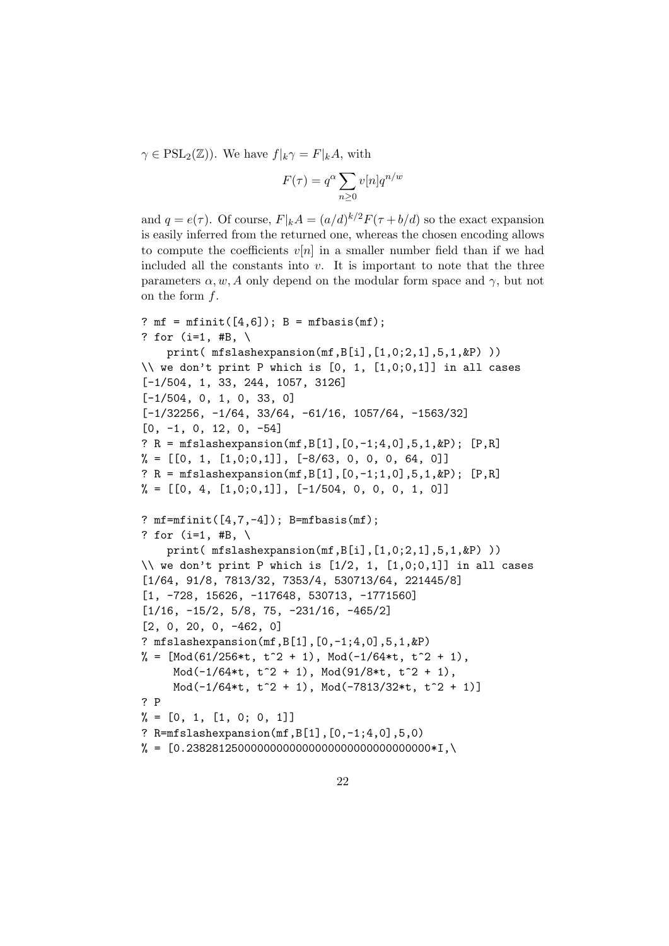$\gamma \in \text{PSL}_2(\mathbb{Z})$ . We have  $f|_k \gamma = F|_k A$ , with

$$
F(\tau) = q^{\alpha} \sum_{n \ge 0} v[n] q^{n/w}
$$

and  $q = e(\tau)$ . Of course,  $F|_k A = (a/d)^{k/2} F(\tau + b/d)$  so the exact expansion is easily inferred from the returned one, whereas the chosen encoding allows to compute the coefficients  $v[n]$  in a smaller number field than if we had included all the constants into  $v$ . It is important to note that the three parameters  $\alpha, w, A$  only depend on the modular form space and  $\gamma$ , but not on the form  $f$ .

```
? mf = mfinite([4,6]); B = mfbasis(mf);
? for (i=1, #B, \setminusprint(mfslashexpansion(mf,B[i],[1,0;2,1],5,1,kP))
\setminus\setminus we don't print P which is [0, 1, [1,0;0,1]] in all cases
[-1/504, 1, 33, 244, 1057, 3126]
[-1/504, 0, 1, 0, 33, 0]
[-1/32256, -1/64, 33/64, -61/16, 1057/64, -1563/32]
[0, -1, 0, 12, 0, -54]? R = mfslashexpansion(mf, B[1], [0, -1; 4, 0], 5, 1, \& P); [P, R]\% = [[0, 1, [1,0;0,1]], [ -8/63, 0, 0, 0, 64, 0]]? R = mfslashexpansion(mf, B[1], [0, -1; 1, 0], 5, 1, \& P); [P, R]\% = [[0, 4, [1,0;0,1]], [-1/504, 0, 0, 0, 1, 0]]? mf = mfinite([4,7,-4]); B = mfbasis(mf);
? for (i=1, #B, \setminusprint( mfslashexpansion(mf,B[i],[1,0;2,1],5,1,&P) ))
\setminus\setminus we don't print P which is [1/2, 1, [1,0;0,1]] in all cases
[1/64, 91/8, 7813/32, 7353/4, 530713/64, 221445/8]
[1, -728, 15626, -117648, 530713, -1771560]
[1/16, -15/2, 5/8, 75, -231/16, -465/2][2, 0, 20, 0, -462, 0]? mfslashexpansion(mf,B[1],[0,-1;4,0],5,1,&P)
% = [Mod(61/256*t, t<sup>2</sup> + 1), Mod(-1/64*t, t<sup>2</sup> + 1),
     Mod(-1/64*t, t^2 + 1), Mod(91/8*t, t^2 + 1),
     Mod(-1/64*t, t^2 + 1), Mod(-7813/32*t, t^2 + 1]
? P
\% = [0, 1, [1, 0; 0, 1]]? R=mfslashexpansion(mf,B[1],[0,-1;4,0],5,0)
% = [0.238281250000000000000000000000000000*1]
```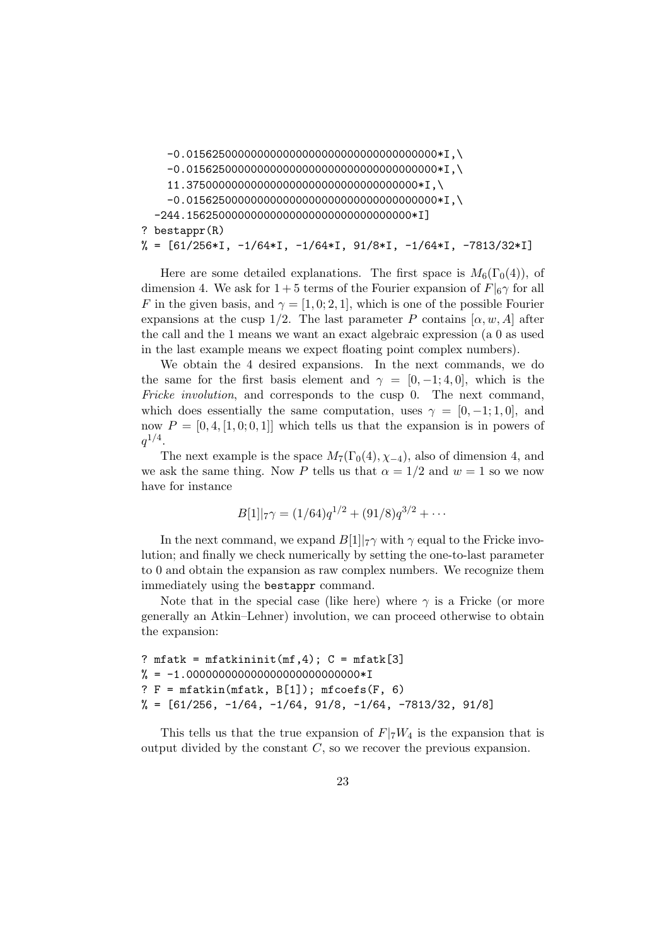-0.015625000000000000000000000000000000000\*I,\ -0.015625000000000000000000000000000000000\*I,\ 11.375000000000000000000000000000000000\*I,\ -0.015625000000000000000000000000000000000\*I,\ -244.15625000000000000000000000000000000\*I] ? bestappr(R)

 $% = [61/256*I, -1/64*I, -1/64*I, 91/8*I, -1/64*I, -7813/32*I]$ 

Here are some detailed explanations. The first space is  $M_6(\Gamma_0(4))$ , of dimension 4. We ask for  $1+5$  terms of the Fourier expansion of  $F|_6\gamma$  for all F in the given basis, and  $\gamma = [1, 0; 2, 1]$ , which is one of the possible Fourier expansions at the cusp  $1/2$ . The last parameter P contains  $[\alpha, w, A]$  after the call and the 1 means we want an exact algebraic expression (a 0 as used in the last example means we expect floating point complex numbers).

We obtain the 4 desired expansions. In the next commands, we do the same for the first basis element and  $\gamma = [0, -1, 4, 0]$ , which is the Fricke involution, and corresponds to the cusp 0. The next command, which does essentially the same computation, uses  $\gamma = [0, -1, 1, 0]$ , and now  $P = [0, 4, [1, 0, 0, 1]]$  which tells us that the expansion is in powers of  $q^{1/4}.$ 

The next example is the space  $M_7(\Gamma_0(4), \chi_{-4})$ , also of dimension 4, and we ask the same thing. Now P tells us that  $\alpha = 1/2$  and  $w = 1$  so we now have for instance

$$
B[1]|_{7}\gamma = (1/64)q^{1/2} + (91/8)q^{3/2} + \cdots
$$

In the next command, we expand  $B[1]|_7\gamma$  with  $\gamma$  equal to the Fricke involution; and finally we check numerically by setting the one-to-last parameter to 0 and obtain the expansion as raw complex numbers. We recognize them immediately using the bestappr command.

Note that in the special case (like here) where  $\gamma$  is a Fricke (or more generally an Atkin–Lehner) involution, we can proceed otherwise to obtain the expansion:

```
? mfatk = mfatkininit(mf, 4); C = m f (3)% = -1.00000000000000000000000000*I? F = mfatkin(mfatk, B[1]); mfoefs(F, 6)\% = \begin{bmatrix} 61/256, -1/64, -1/64, 91/8, -1/64, -7813/32, 91/8 \end{bmatrix}
```
This tells us that the true expansion of  $F|_7W_4$  is the expansion that is output divided by the constant  $C$ , so we recover the previous expansion.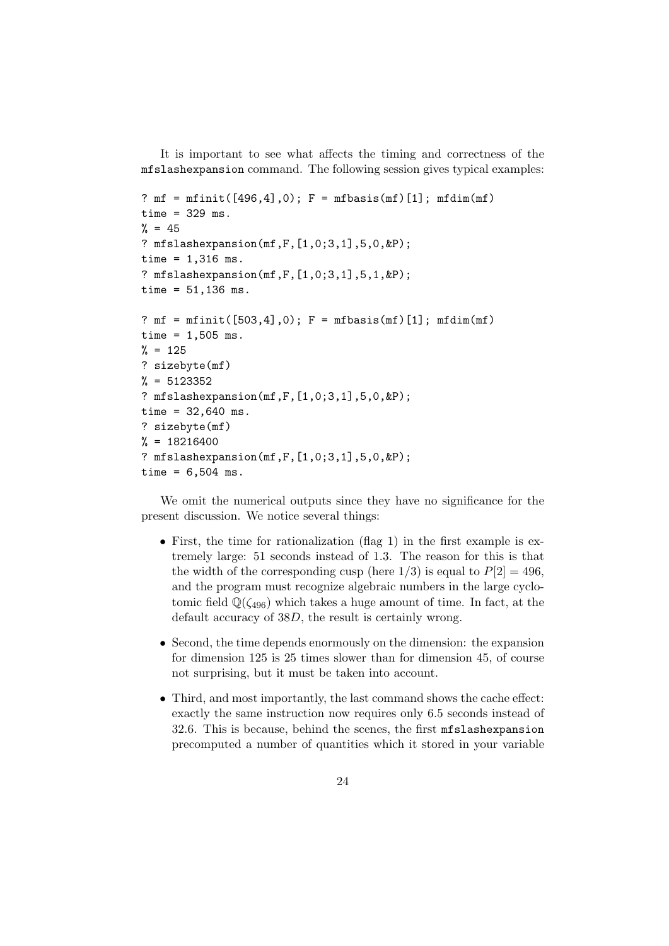It is important to see what affects the timing and correctness of the mfslashexpansion command. The following session gives typical examples:

```
? mf = mfinite([496, 4], 0); F = mfbasis(mf)[1]; mfdim(mf)time = 329 ms.
% = 45? mfslashexpansion(mf,F,[1,0;3,1],5,0,&P);
time = 1,316 ms.
? mfslashexpansion(mf,F,[1,0;3,1],5,1,&P);
time = 51,136 ms.
? mf = mfinite([503, 4], 0); F = mfbasis(mf)[1]; mfdim(mf)time = 1.505 ms.
% = 125? sizebyte(mf)
% = 5123352? mfslashexpansion(mf,F,[1,0;3,1],5,0,&P);
time = 32,640 ms.
? sizebyte(mf)
% = 18216400? mfslashexpansion(mf,F,[1,0;3,1],5,0,&P);
time = 6,504 ms.
```
We omit the numerical outputs since they have no significance for the present discussion. We notice several things:

- First, the time for rationalization (flag 1) in the first example is extremely large: 51 seconds instead of 1.3. The reason for this is that the width of the corresponding cusp (here  $1/3$ ) is equal to  $P[2] = 496$ , and the program must recognize algebraic numbers in the large cyclotomic field  $\mathbb{Q}(\zeta_{496})$  which takes a huge amount of time. In fact, at the default accuracy of 38D, the result is certainly wrong.
- Second, the time depends enormously on the dimension: the expansion for dimension 125 is 25 times slower than for dimension 45, of course not surprising, but it must be taken into account.
- Third, and most importantly, the last command shows the cache effect: exactly the same instruction now requires only 6.5 seconds instead of 32.6. This is because, behind the scenes, the first mfslashexpansion precomputed a number of quantities which it stored in your variable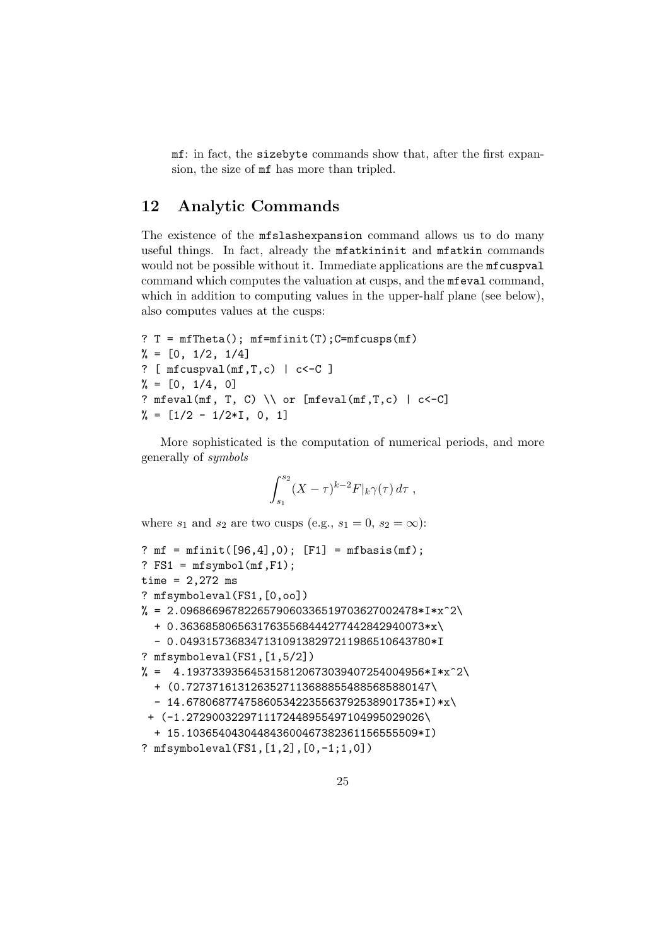mf: in fact, the sizebyte commands show that, after the first expansion, the size of mf has more than tripled.

# 12 Analytic Commands

The existence of the mfslashexpansion command allows us to do many useful things. In fact, already the mfatkininit and mfatkin commands would not be possible without it. Immediate applications are the mfcuspval command which computes the valuation at cusps, and the mfeval command, which in addition to computing values in the upper-half plane (see below), also computes values at the cusps:

```
? T = mfTheta(); mf=mfinit(T); C=mfcusps(mf)\% = [0, 1/2, 1/4]? [ mfcuspval(mf,T,c) | c<-C ]\% = [0, 1/4, 0]? mfeval(mf, T, C) \\ or [mfeval(mf, T, c) | c<-C]
\frac{9}{6} = \left[\frac{1}{2} - \frac{1}{2 \cdot 1}, 0, 1\right]
```
More sophisticated is the computation of numerical periods, and more generally of symbols

$$
\int_{s_1}^{s_2} (X - \tau)^{k-2} F|_{k} \gamma(\tau) d\tau ,
$$

where  $s_1$  and  $s_2$  are two cusps (e.g.,  $s_1 = 0$ ,  $s_2 = \infty$ ):

```
? mf = mfinit([96,4],0); [F1] = mfbasis(mf);
? FSI = mfsymbol(mf,F1);time = 2,272 ms
? mfsymboleval(FS1,[0,oo])
\frac{1}{6} = 2.0968669678226579060336519703627002478*I*x<sup>2</sup>2\
  + 0.36368580656317635568444277442842940073*x\
  - 0.049315736834713109138297211986510643780*I
? mfsymboleval(FS1,[1,5/2])
\% = 4.1937339356453158120673039407254004956*I*x^2\+ (0.72737161312635271136888554885685880147\
  -14.678068774758605342235563792538901735*I)*x
 + (-1.2729003229711172448955497104995029026\
  + 15.103654043044843600467382361156555509*I)
? mfsymboleval(FS1,[1,2],[0,-1;1,0])
```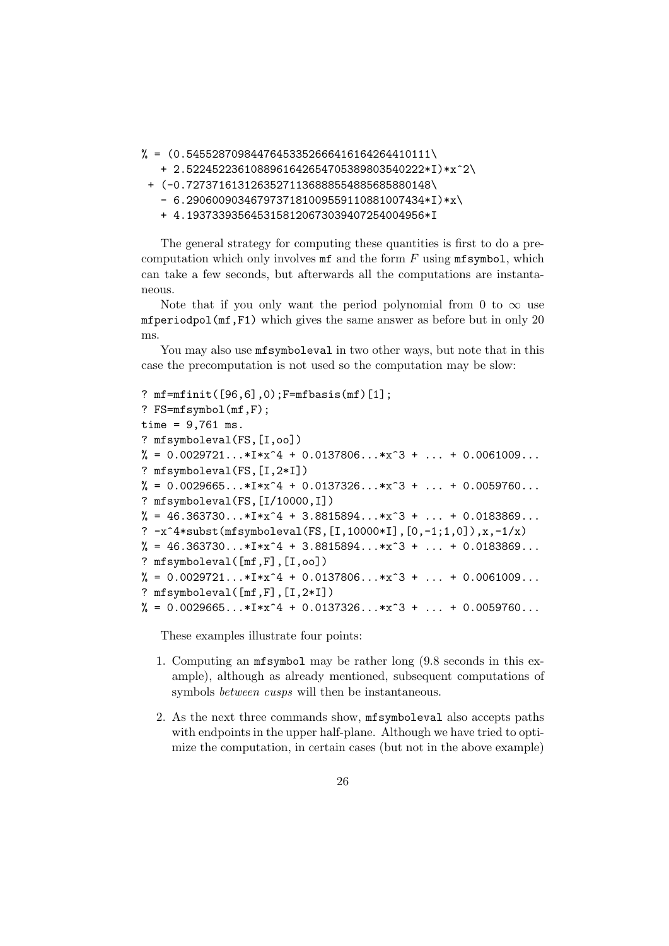- $% = (0.54552870984476453352666416164264410111)$ 
	- + 2.5224522361088961642654705389803540222\*I)\*x^2\
	- + (-0.72737161312635271136888554885685880148\
		- $6.2906009034679737181009559110881007434*D*x\$
		- + 4.1937339356453158120673039407254004956\*I

The general strategy for computing these quantities is first to do a precomputation which only involves  $mf$  and the form  $F$  using  $mfgymbol$ , which can take a few seconds, but afterwards all the computations are instantaneous.

Note that if you only want the period polynomial from 0 to  $\infty$  use mfperiodpol(mf,F1) which gives the same answer as before but in only 20 ms.

You may also use mfsymboleval in two other ways, but note that in this case the precomputation is not used so the computation may be slow:

```
? mf=mfinit([96,6],0);F=mfbasis(mf)[1];
? FS=mfsymbol(mf,F);
time = 9,761 ms.
? mfsymboleval(FS,[I,oo])
\% = 0.0029721...*I*x^4 + 0.0137806...*x^3 + ... + 0.0061009...? mfsymboleval(FS,[I,2*I])
% = 0.0029665...*I*x^4 + 0.0137326...*x^3 + ... + 0.0059760...? mfsymboleval(FS,[I/10000,I])
\% = 46.363730...*I*x^4 + 3.8815894...*x^3 + ... + 0.0183869...? -x^4*subst(mfsymboleval(FS,[I,10000*I],[0,-1;1,0]),x,-1/x)
\% = 46.363730...*I*x^4 + 3.8815894...*x^3 + ... + 0.0183869...? mfsymboleval([mf,F],[I,oo])
% = 0.0029721...*I*x^4 + 0.0137806...*x^3 + ... + 0.0061009...? mfsymboleval([mf,F],[I,2*I])
\% = 0.0029665...*I*x^4 + 0.0137326...*x^3 + ... + 0.0059760...
```
These examples illustrate four points:

- 1. Computing an mfsymbol may be rather long (9.8 seconds in this example), although as already mentioned, subsequent computations of symbols *between cusps* will then be instantaneous.
- 2. As the next three commands show, mfsymboleval also accepts paths with endpoints in the upper half-plane. Although we have tried to optimize the computation, in certain cases (but not in the above example)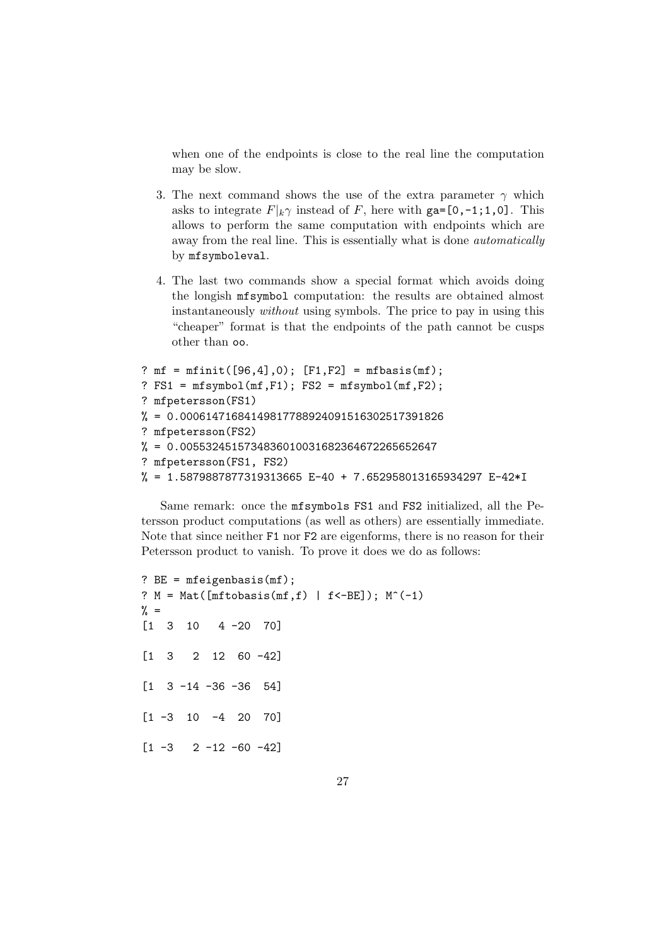when one of the endpoints is close to the real line the computation may be slow.

- 3. The next command shows the use of the extra parameter  $\gamma$  which asks to integrate  $F|_k \gamma$  instead of F, here with  $\texttt{ga}=[0,-1;1,0]$ . This allows to perform the same computation with endpoints which are away from the real line. This is essentially what is done automatically by mfsymboleval.
- 4. The last two commands show a special format which avoids doing the longish mfsymbol computation: the results are obtained almost instantaneously without using symbols. The price to pay in using this "cheaper" format is that the endpoints of the path cannot be cusps other than oo.

```
? mf = mfinit([96,4],0); [F1,F2] = mfbasis(mf);
? FS1 = mfsymbol(mf,F1); FS2 = mfsymbol(mf,F2);
? mfpetersson(FS1)
% = 0.00061471684149817788924091516302517391826
? mfpetersson(FS2)
% = 0.0055324515734836010031682364672265652647
? mfpetersson(FS1, FS2)
% = 1.5879887877319313665 E-40 + 7.652958013165934297 E-42*I
```
Same remark: once the mfsymbols FS1 and FS2 initialized, all the Petersson product computations (as well as others) are essentially immediate. Note that since neither F1 nor F2 are eigenforms, there is no reason for their Petersson product to vanish. To prove it does we do as follows:

```
? BE = mfeigenbasis(mf);
? M = Mat([mftobasis(mf, f) | f\leftarrow BE]); M^(-1)\% =[1 3 10 4 -20 70]
[1 \ 3 \ 2 \ 12 \ 60 \ -42][1 \ 3 \ -14 \ -36 \ -36 \ 54][1 -3 10 -4 20 70]\begin{bmatrix} 1 & -3 & 2 & -12 & -60 & -42 \end{bmatrix}
```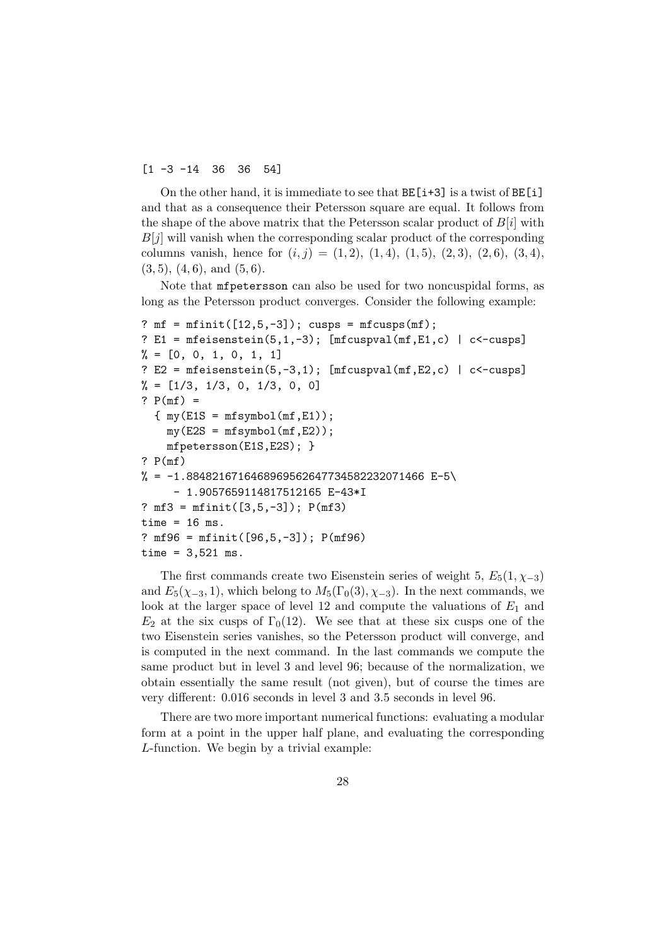$[1 -3 -14 36 36 54]$ 

On the other hand, it is immediate to see that  $BE[i+3]$  is a twist of  $BE[i]$ and that as a consequence their Petersson square are equal. It follows from the shape of the above matrix that the Petersson scalar product of  $B[i]$  with  $B[j]$  will vanish when the corresponding scalar product of the corresponding columns vanish, hence for  $(i, j) = (1, 2), (1, 4), (1, 5), (2, 3), (2, 6), (3, 4),$  $(3, 5), (4, 6), \text{ and } (5, 6).$ 

Note that mfpetersson can also be used for two noncuspidal forms, as long as the Petersson product converges. Consider the following example:

```
? mf = mfinite([12,5,-3]); cusps = mfcusps(mf);
? E1 = mfeisenstein(5,1,-3); [mfcuspval(mf, E1, c) | c<-cusps]
\% = [0, 0, 1, 0, 1, 1]? E2 = mfeisenstein(5,-3,1); [mfcuspval(mf, E2, c) | c<-cusps]
\% = [1/3, 1/3, 0, 1/3, 0, 0]? P(mf) =\{ my(E1S = mfsymbol(mf, E1))\}my(E2S = mfsymbol(mf, E2));mfpetersson(E1S,E2S); }
? P(mf)
% = -1.8848216716468969562647734582232071466 E-5- 1.9057659114817512165 E-43*I
? mf3 = mfinit([3,5,-3]); P(mf3)
time = 16 ms.
? mf96 = mfinit([96,5,-3]); P(mf96)
time = 3,521 ms.
```
The first commands create two Eisenstein series of weight 5,  $E_5(1, \chi_{-3})$ and  $E_5(\chi_{-3}, 1)$ , which belong to  $M_5(\Gamma_0(3), \chi_{-3})$ . In the next commands, we look at the larger space of level 12 and compute the valuations of  $E_1$  and  $E_2$  at the six cusps of  $\Gamma_0(12)$ . We see that at these six cusps one of the two Eisenstein series vanishes, so the Petersson product will converge, and is computed in the next command. In the last commands we compute the same product but in level 3 and level 96; because of the normalization, we obtain essentially the same result (not given), but of course the times are very different: 0.016 seconds in level 3 and 3.5 seconds in level 96.

There are two more important numerical functions: evaluating a modular form at a point in the upper half plane, and evaluating the corresponding L-function. We begin by a trivial example: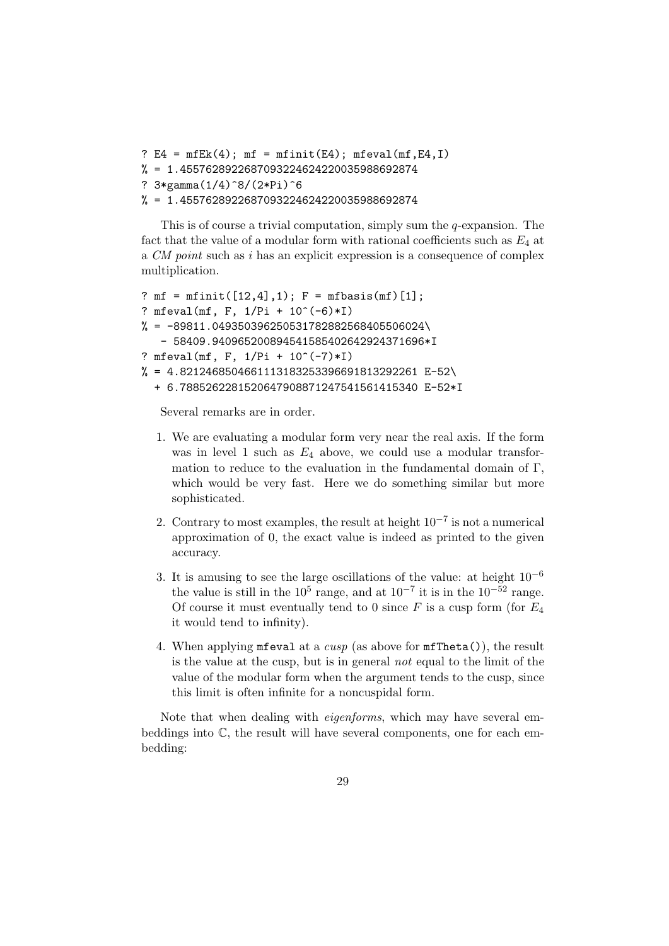- ? E4 =  $mfEk(4)$ ;  $mf = mfinite(E4)$ ;  $mfeval(mf, E4, I)$
- % = 1.4557628922687093224624220035988692874
- ?  $3*gamma(1/4)^9/2*Pi)^6$
- % = 1.4557628922687093224624220035988692874

This is of course a trivial computation, simply sum the  $q$ -expansion. The fact that the value of a modular form with rational coefficients such as  $E_4$  at a CM point such as i has an explicit expression is a consequence of complex multiplication.

```
? mf = mfinite([12, 4], 1); F = mfbasis(mf)[1];? mfeval(mf, F, 1/Pi + 10^(-6)*I)
% = -89811.049350396250531782882568405506024- 58409.940965200894541585402642924371696*I
? mfeval(mf, F, 1/Pi + 10^(-7)*I)
% = 4.8212468504661113183253396691813292261 E-52+ 6.7885262281520647908871247541561415340 E-52*I
```
Several remarks are in order.

- 1. We are evaluating a modular form very near the real axis. If the form was in level 1 such as  $E_4$  above, we could use a modular transformation to reduce to the evaluation in the fundamental domain of Γ, which would be very fast. Here we do something similar but more sophisticated.
- 2. Contrary to most examples, the result at height  $10^{-7}$  is not a numerical approximation of 0, the exact value is indeed as printed to the given accuracy.
- 3. It is amusing to see the large oscillations of the value: at height  $10^{-6}$ the value is still in the  $10^5$  range, and at  $10^{-7}$  it is in the  $10^{-52}$  range. Of course it must eventually tend to 0 since  $F$  is a cusp form (for  $E_4$ ) it would tend to infinity).
- 4. When applying mfeval at a cusp (as above for mfTheta()), the result is the value at the cusp, but is in general not equal to the limit of the value of the modular form when the argument tends to the cusp, since this limit is often infinite for a noncuspidal form.

Note that when dealing with *eigenforms*, which may have several embeddings into C, the result will have several components, one for each embedding: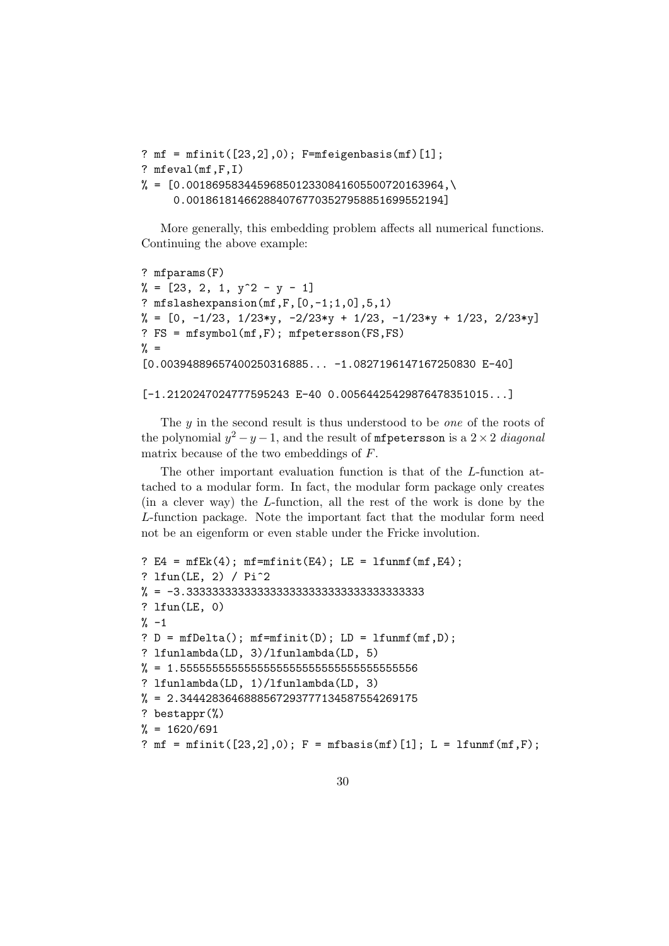```
? mf = mfinite([23, 2], 0); F = mfeigenbasis(mf)[1];
? mfeval(mf,F,I)
% = [0.0018695834459685012330841605500720163964]0.0018618146628840767703527958851699552194]
```
More generally, this embedding problem affects all numerical functions. Continuing the above example:

```
? mfparams(F)
\% = [23, 2, 1, y^2 - y - 1]? mfslashexpansion(mf,F,[0,-1;1,0],5,1)
% = [0, -1/23, 1/23*y, -2/23*y + 1/23, -1/23*y + 1/23, 2/23*y]? FS = mfsymbol(mf,F); mfpetersson(FS,FS)
\frac{9}{6} =
[0.00394889657400250316885... -1.0827196147167250830 E-40]
```

```
[-1.2120247024777595243 E-40 0.00564425429876478351015...]
```
The y in the second result is thus understood to be one of the roots of the polynomial  $y^2-y-1,$  and the result of <code>mfpetersson</code> is a  $2\times 2$  *diagonal* matrix because of the two embeddings of F.

The other important evaluation function is that of the L-function attached to a modular form. In fact, the modular form package only creates (in a clever way) the L-function, all the rest of the work is done by the L-function package. Note the important fact that the modular form need not be an eigenform or even stable under the Fricke involution.

```
? E4 = mfEk(4); mf=mfinit(E4); LE = lfunnf(mf,E4);
? lfun(LE, 2) / Pi^2
% = -3.3333333333333333333333333333333333333
? lfun(LE, 0)
\frac{9}{2} -1
? D = mfDelta(); mf=mfinit(D); LD = 1funnf(mf,D);
? lfunlambda(LD, 3)/lfunlambda(LD, 5)
% = 1.5555555555555555555555555555555555556
? lfunlambda(LD, 1)/lfunlambda(LD, 3)
% = 2.3444283646888567293777134587554269175
? bestappr(%)
% = 1620/691? mf = mfinite([23, 2], 0); F = mfbasis(mf)[1]; L = 1funnf(mf, F);
```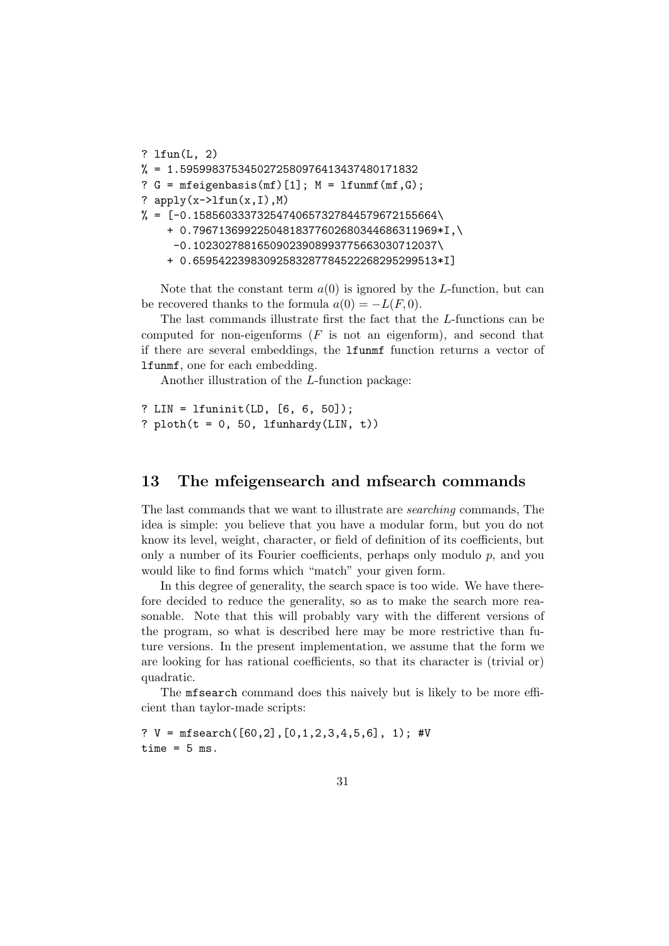```
? lfun(L, 2)
% = 1.5959983753450272580976413437480171832
? G = mfeigenbasis(mf) [1]; M = 1funnf(mf, G);? apply(x->lfun(x,I),M)% = [-0.15856033373254740657327844579672155664]+ 0.79671369922504818377602680344686311969*I,\
     -0.10230278816509023908993775663030712037\
    + 0.65954223983092583287784522268295299513*I]
```
Note that the constant term  $a(0)$  is ignored by the *L*-function, but can be recovered thanks to the formula  $a(0) = -L(F, 0)$ .

The last commands illustrate first the fact that the L-functions can be computed for non-eigenforms  $(F \text{ is not an eigenform})$ , and second that if there are several embeddings, the lfunmf function returns a vector of lfunmf, one for each embedding.

Another illustration of the L-function package:

```
? LIN = lfuninit(LD, [6, 6, 50]);
? ploth(t = 0, 50, 1funhardy(LIN, t))
```
### 13 The mfeigensearch and mfsearch commands

The last commands that we want to illustrate are searching commands, The idea is simple: you believe that you have a modular form, but you do not know its level, weight, character, or field of definition of its coefficients, but only a number of its Fourier coefficients, perhaps only modulo  $p$ , and you would like to find forms which "match" your given form.

In this degree of generality, the search space is too wide. We have therefore decided to reduce the generality, so as to make the search more reasonable. Note that this will probably vary with the different versions of the program, so what is described here may be more restrictive than future versions. In the present implementation, we assume that the form we are looking for has rational coefficients, so that its character is (trivial or) quadratic.

The mfsearch command does this naively but is likely to be more efficient than taylor-made scripts:

?  $V = mfsearch([60, 2], [0, 1, 2, 3, 4, 5, 6], 1); #V$ time  $= 5$  ms.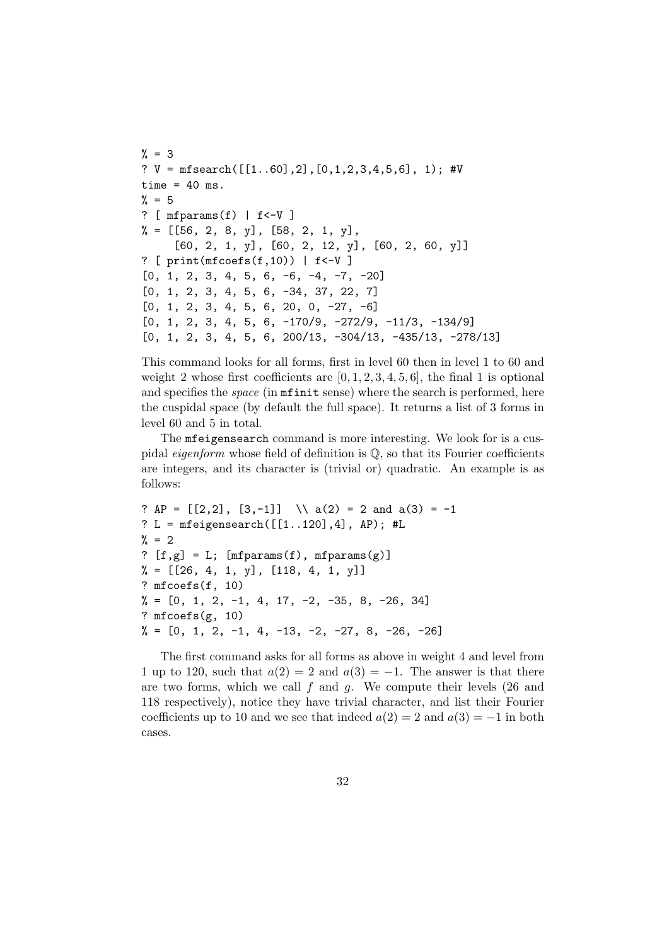```
% = 3? V = mfsearch([[1..60],2], [0,1,2,3,4,5,6], 1);#V
time = 40 ms.
% = 5? [ mfparams(f) | f<-V ]
\% = [[56, 2, 8, y], [58, 2, 1, y],[60, 2, 1, y], [60, 2, 12, y], [60, 2, 60, y]]
? [ print(mfcoeff(f,10)) | f<-V ]
[0, 1, 2, 3, 4, 5, 6, -6, -4, -7, -20]
[0, 1, 2, 3, 4, 5, 6, -34, 37, 22, 7][0, 1, 2, 3, 4, 5, 6, 20, 0, -27, -6][0, 1, 2, 3, 4, 5, 6, -170/9, -272/9, -11/3, -134/9]
[0, 1, 2, 3, 4, 5, 6, 200/13, -304/13, -435/13, -278/13]
```
This command looks for all forms, first in level 60 then in level 1 to 60 and weight 2 whose first coefficients are  $[0, 1, 2, 3, 4, 5, 6]$ , the final 1 is optional and specifies the *space* (in **mfinit** sense) where the search is performed, here the cuspidal space (by default the full space). It returns a list of 3 forms in level 60 and 5 in total.

The mfeigensearch command is more interesting. We look for is a cuspidal *eigenform* whose field of definition is  $\mathbb{Q}$ , so that its Fourier coefficients are integers, and its character is (trivial or) quadratic. An example is as follows:

```
? AP = [2,2], [3,-1]] \\ a(2) = 2 and a(3) = -1
? L = mfeigensearch([1..120], 4], AP); #L
\frac{9}{6} = 2
? [f,g] = L; [mfrarams(f), mfparams(g)]\% = [[26, 4, 1, y], [118, 4, 1, y]]? mfcoefs(f, 10)
\% = \begin{bmatrix} 0, 1, 2, -1, 4, 17, -2, -35, 8, -26, 34 \end{bmatrix}? mfcoefs(g, 10)
\% = \begin{bmatrix} 0, 1, 2, -1, 4, -13, -2, -27, 8, -26, -26 \end{bmatrix}
```
The first command asks for all forms as above in weight 4 and level from 1 up to 120, such that  $a(2) = 2$  and  $a(3) = -1$ . The answer is that there are two forms, which we call  $f$  and  $g$ . We compute their levels (26 and 118 respectively), notice they have trivial character, and list their Fourier coefficients up to 10 and we see that indeed  $a(2) = 2$  and  $a(3) = -1$  in both cases.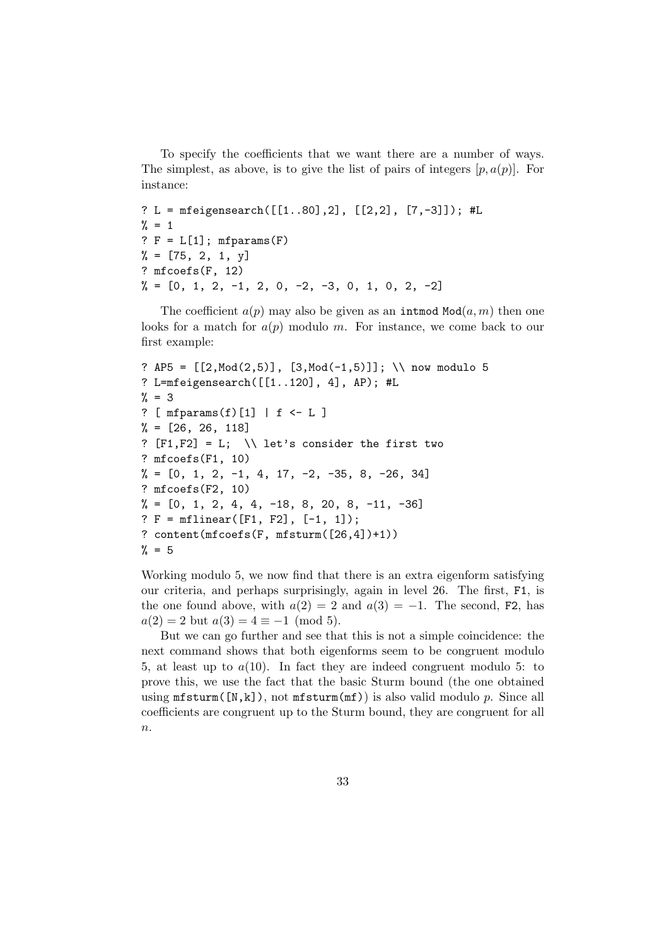To specify the coefficients that we want there are a number of ways. The simplest, as above, is to give the list of pairs of integers  $[p, a(p)]$ . For instance:

```
? L = mfeigensearch([[1..80],2], [[2,2], [7,-3]]); #L
\frac{9}{6} = 1
? F = L[1]; mfparams(F)% = [75, 2, 1, y]? mfcoefs(F, 12)
\% = \begin{bmatrix} 0, 1, 2, -1, 2, 0, -2, -3, 0, 1, 0, 2, -2 \end{bmatrix}
```
The coefficient  $a(p)$  may also be given as an intmod  $Mod(a, m)$  then one looks for a match for  $a(p)$  modulo m. For instance, we come back to our first example:

```
? AP5 = [[2,Mod(2,5)], [3,Mod(-1,5)]]; \\ now modulo 5
? L=mfeigensearch([[1..120], 4], AP); #L
\% = 3? [ mfparams(f)[1] | f <- L ]
\% = [26, 26, 118]? [F1,F2] = L; \\ let's consider the first two
? mfcoefs(F1, 10)
\% = \begin{bmatrix} 0, 1, 2, -1, 4, 17, -2, -35, 8, -26, 34 \end{bmatrix}? mfcoefs(F2, 10)
\% = \begin{bmatrix} 0, 1, 2, 4, 4, -18, 8, 20, 8, -11, -36 \end{bmatrix}? F = mflinear([F1, F2], [-1, 1]);
? content(mfcoefs(F, mfsturm([26,4])+1))
% = 5
```
Working modulo 5, we now find that there is an extra eigenform satisfying our criteria, and perhaps surprisingly, again in level 26. The first, F1, is the one found above, with  $a(2) = 2$  and  $a(3) = -1$ . The second, F2, has  $a(2) = 2$  but  $a(3) = 4 \equiv -1 \pmod{5}$ .

But we can go further and see that this is not a simple coincidence: the next command shows that both eigenforms seem to be congruent modulo 5, at least up to  $a(10)$ . In fact they are indeed congruent modulo 5: to prove this, we use the fact that the basic Sturm bound (the one obtained using  $mfsturm([N,k])$ , not  $mfsturm(mf))$  is also valid modulo p. Since all coefficients are congruent up to the Sturm bound, they are congruent for all  $\overline{n}$ .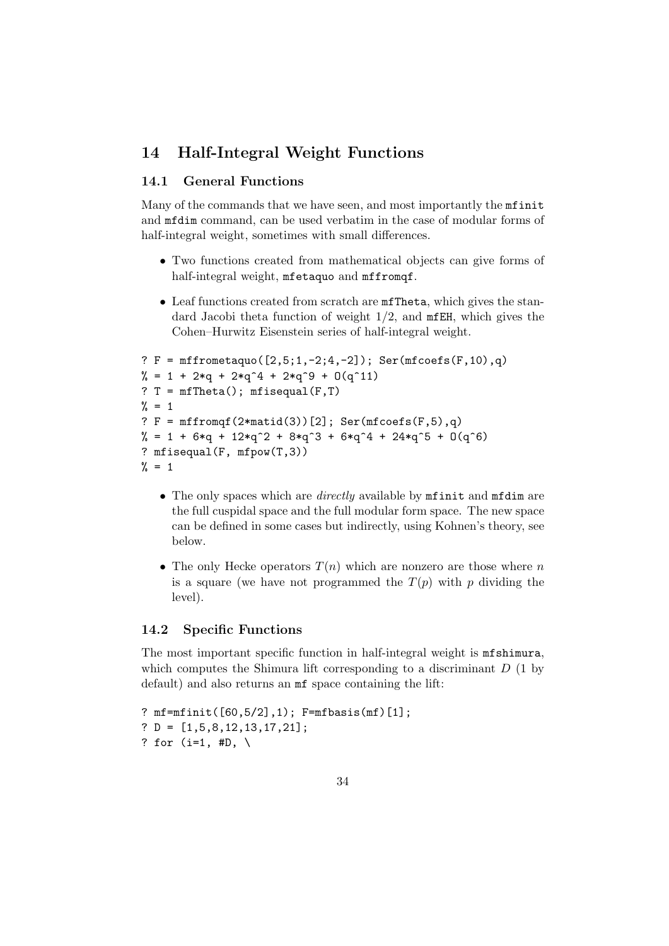# 14 Half-Integral Weight Functions

### 14.1 General Functions

Many of the commands that we have seen, and most importantly the mfinit and mfdim command, can be used verbatim in the case of modular forms of half-integral weight, sometimes with small differences.

- Two functions created from mathematical objects can give forms of half-integral weight, mfetaquo and mffromqf.
- Leaf functions created from scratch are mfTheta, which gives the standard Jacobi theta function of weight  $1/2$ , and mfEH, which gives the Cohen–Hurwitz Eisenstein series of half-integral weight.

```
? F = mffrometaquo([2,5;1,-2;4,-2]); Ser(mfcoefs(F,10),q)
% = 1 + 2*q + 2*q<sup>\hat{4}</sup> + 2*q<sup>\hat{9}</sup> + 0(q^211)? T = mfTheta(); mfisequal(F,T)\frac{9}{6} = 1
? F = mffrom(f(2*matid(3))[2]; Ser(mfcoeff(F,5),q))% = 1 + 6*q + 12*q<sup>-</sup>2 + 8*q<sup>-</sup>3 + 6*q<sup>-</sup>4 + 24*q<sup>-</sup>5 + 0(q<sup>-</sup>6)
? mfisequal(F, mfpow(T,3))
\frac{9}{6} = 1
```
- The only spaces which are directly available by mfinit and mfdim are the full cuspidal space and the full modular form space. The new space can be defined in some cases but indirectly, using Kohnen's theory, see below.
- The only Hecke operators  $T(n)$  which are nonzero are those where n is a square (we have not programmed the  $T(p)$  with p dividing the level).

#### 14.2 Specific Functions

The most important specific function in half-integral weight is mfshimura, which computes the Shimura lift corresponding to a discriminant  $D(1)$  by default) and also returns an mf space containing the lift:

? mf=mfinit([60,5/2],1); F=mfbasis(mf)[1]; ?  $D = [1, 5, 8, 12, 13, 17, 21]$ ; ? for  $(i=1, #D, \setminus)$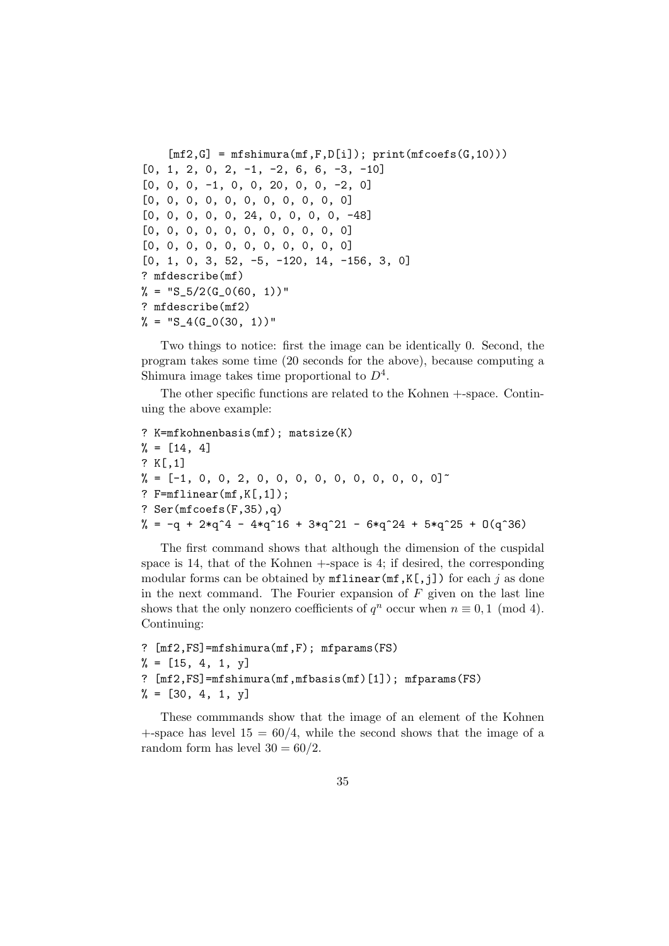```
[mf2,G] = mfshimura(mf,F,D[i]); print(mfcoeff(G,10)))[0, 1, 2, 0, 2, -1, -2, 6, 6, -3, -10][0, 0, 0, -1, 0, 0, 20, 0, 0, -2, 0][0, 0, 0, 0, 0, 0, 0, 0, 0, 0, 0]
[0, 0, 0, 0, 0, 24, 0, 0, 0, 0, -48][0, 0, 0, 0, 0, 0, 0, 0, 0, 0, 0]
[0, 0, 0, 0, 0, 0, 0, 0, 0, 0, 0]
[0, 1, 0, 3, 52, -5, -120, 14, -156, 3, 0]? mfdescribe(mf)
\% = "S_5/2(G_0(60, 1))"
? mfdescribe(mf2)
\% = "S_4(G_0(30, 1))"
```
Two things to notice: first the image can be identically 0. Second, the program takes some time (20 seconds for the above), because computing a Shimura image takes time proportional to  $D^4$ .

The other specific functions are related to the Kohnen +-space. Continuing the above example:

```
? K=mfkohnenbasis(mf); matsize(K)
\% = [14, 4]? K[,1]
\% = [-1, 0, 0, 2, 0, 0, 0, 0, 0, 0, 0, 0, 0]? F=mflinear(mf,K[,1]);
? Ser(mfcoefs(F,35),q)
% = -q + 2*q^4 - 4*q^16 + 3*q^21 - 6*q^24 + 5*q^25 + O(q^36)
```
The first command shows that although the dimension of the cuspidal space is 14, that of the Kohnen +-space is 4; if desired, the corresponding modular forms can be obtained by  $m$ flinear( $m$ f,K[,j]) for each j as done in the next command. The Fourier expansion of  $F$  given on the last line shows that the only nonzero coefficients of  $q^n$  occur when  $n \equiv 0, 1 \pmod{4}$ . Continuing:

```
? [mf2,FS]=mfshimura(mf,F); mfparams(FS)
\% = [15, 4, 1, y]? [mf2,FS]=mfshimura(mf,mfbasis(mf)[1]); mfparams(FS)
% = [30, 4, 1, y]
```
These commmands show that the image of an element of the Kohnen +-space has level  $15 = 60/4$ , while the second shows that the image of a random form has level  $30 = 60/2$ .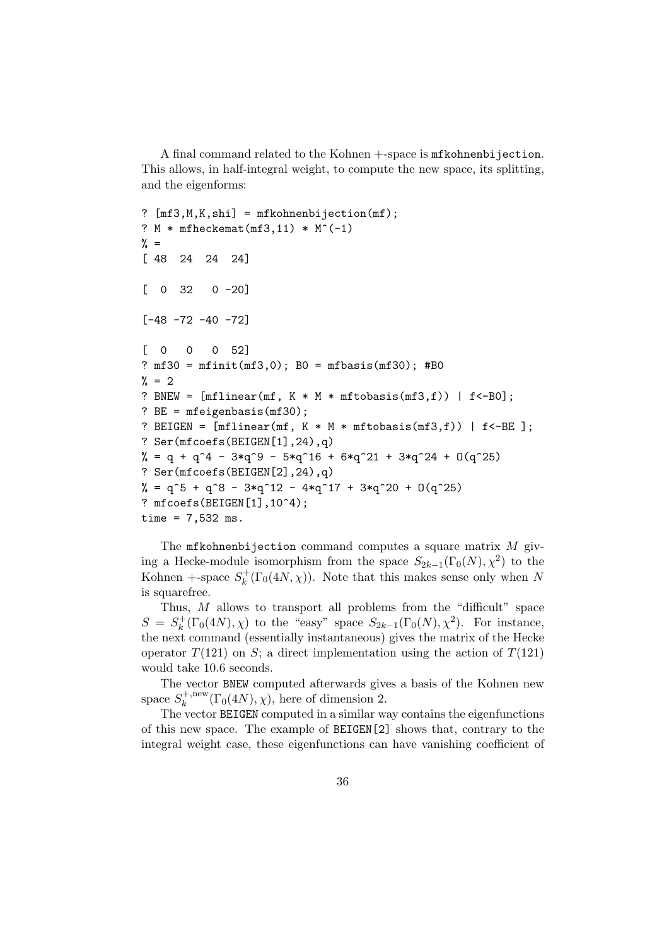A final command related to the Kohnen +-space is mfkohnenbijection. This allows, in half-integral weight, to compute the new space, its splitting, and the eigenforms:

```
? [mf3,M,K,shi] = mfkohnenbijection(mf);
? M * mfheckemat(mf3,11) * M^(-1)\% =[ 48 24 24 24]
[ 0 32 0 -20 ][-48 - 72 - 40 - 72][ 0 0 0 52]
? mf30 = mfinite(mf3,0); BO = mfbasis(mf30); #BO\frac{9}{6} = 2
? BNEW = [mflinear(mf, K * M * mftobasis(mf3,f)) | f<-BO];? BE = mfeigenbasis(mf30);
? BEIGEN = [mflinear(mf, K * M * mftobasis(mf3,f)) | f<-BE ];
? Ser(mfcoefs(BEIGEN[1],24),q)
% = q + q<sup>2</sup> - 3*q<sup>2</sup> - 5*q<sup>2</sup>16 + 6*q<sup>21</sup> + 3*q<sup>24</sup> + 0(q<sup>25</sup>)
? Ser(mfcoefs(BEIGEN[2],24),q)
% = q^5 + q^8 - 3*q^12 - 4*q^17 + 3*q^20 + 0(q^25)? mfcoefs(BEIGEN[1],10^4);
time = 7,532 ms.
```
The mfkohnenbijection command computes a square matrix  $M$  giving a Hecke-module isomorphism from the space  $S_{2k-1}(\Gamma_0(N), \chi^2)$  to the Kohnen +-space  $S_k^+$  $\chi_k^+(\Gamma_0(4N,\chi))$ . Note that this makes sense only when N is squarefree.

Thus, M allows to transport all problems from the "difficult" space  $S = S_k^+$  $\kappa^{\dagger}(\Gamma_0(4N), \chi)$  to the "easy" space  $S_{2k-1}(\Gamma_0(N), \chi^2)$ . For instance, the next command (essentially instantaneous) gives the matrix of the Hecke operator  $T(121)$  on S; a direct implementation using the action of  $T(121)$ would take 10.6 seconds.

The vector BNEW computed afterwards gives a basis of the Kohnen new space  $S_k^{+,\text{new}}$  $\chi_k^{+, \text{new}}(\Gamma_0(4N), \chi)$ , here of dimension 2.

The vector BEIGEN computed in a similar way contains the eigenfunctions of this new space. The example of BEIGEN[2] shows that, contrary to the integral weight case, these eigenfunctions can have vanishing coefficient of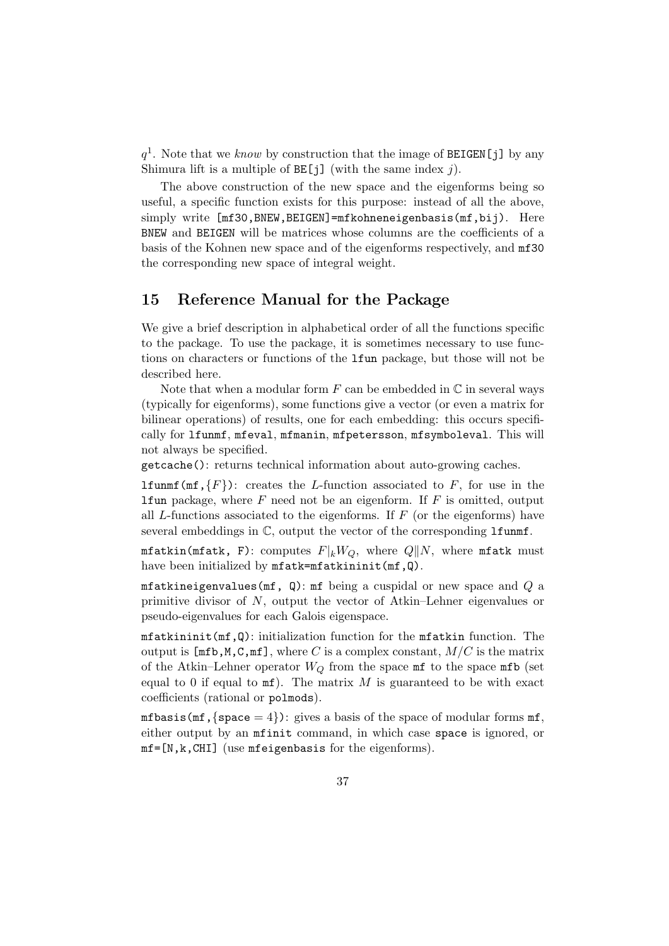$q<sup>1</sup>$ . Note that we know by construction that the image of BEIGEN[j] by any Shimura lift is a multiple of  $BE[j]$  (with the same index j).

The above construction of the new space and the eigenforms being so useful, a specific function exists for this purpose: instead of all the above, simply write [mf30,BNEW,BEIGEN]=mfkohneneigenbasis(mf,bij). Here BNEW and BEIGEN will be matrices whose columns are the coefficients of a basis of the Kohnen new space and of the eigenforms respectively, and mf30 the corresponding new space of integral weight.

### 15 Reference Manual for the Package

We give a brief description in alphabetical order of all the functions specific to the package. To use the package, it is sometimes necessary to use functions on characters or functions of the lfun package, but those will not be described here.

Note that when a modular form  $F$  can be embedded in  $\mathbb C$  in several ways (typically for eigenforms), some functions give a vector (or even a matrix for bilinear operations) of results, one for each embedding: this occurs specifically for lfunmf, mfeval, mfmanin, mfpetersson, mfsymboleval. This will not always be specified.

getcache(): returns technical information about auto-growing caches.

**lfunmf**(mf,  $\{F\}$ ): creates the *L*-function associated to *F*, for use in the **1fun** package, where  $F$  need not be an eigenform. If  $F$  is omitted, output all  $L$ -functions associated to the eigenforms. If  $F$  (or the eigenforms) have several embeddings in C, output the vector of the corresponding lfunmf.

mfatkin(mfatk, F): computes  $F|_kW_Q$ , where  $Q||N$ , where mfatk must have been initialized by mfatk=mfatkininit(mf,Q).

mfatkineigenvalues(mf,  $Q$ ): mf being a cuspidal or new space and  $Q$  a primitive divisor of  $N$ , output the vector of Atkin–Lehner eigenvalues or pseudo-eigenvalues for each Galois eigenspace.

 $m$ fatkininit( $m$ f,Q): initialization function for the mfatkin function. The output is  $[mfb,M,C,mf]$ , where C is a complex constant,  $M/C$  is the matrix of the Atkin–Lehner operator  $W_Q$  from the space mf to the space mfb (set equal to 0 if equal to  $m\text{f}$ ). The matrix M is guaranteed to be with exact coefficients (rational or polmods).

mfbasis(mf, {space = 4}): gives a basis of the space of modular forms  $m$ f, either output by an mfinit command, in which case space is ignored, or mf=[N,k,CHI] (use mfeigenbasis for the eigenforms).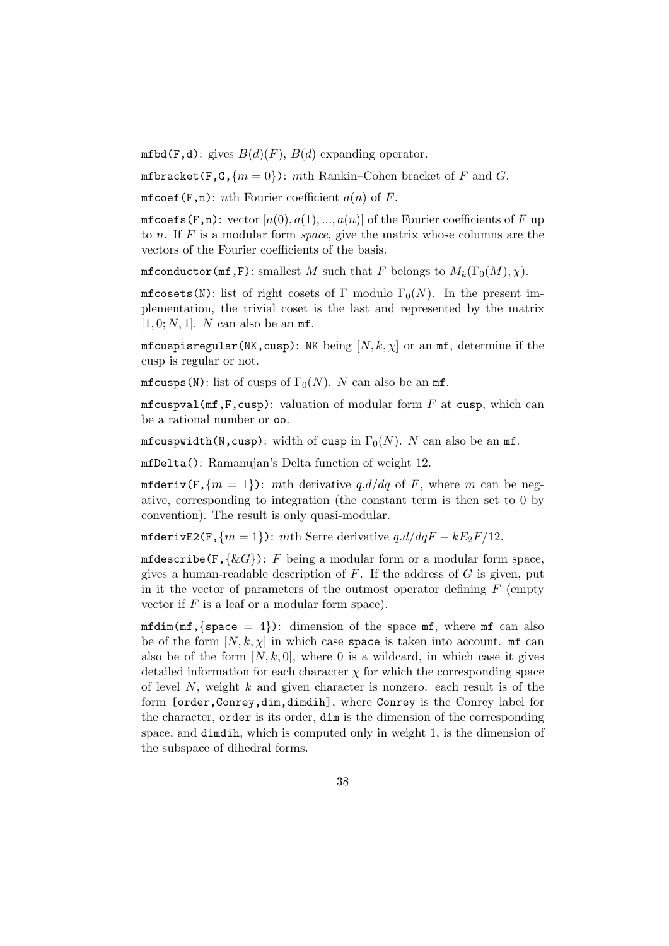$mfbd(F,d)$ : gives  $B(d)(F)$ ,  $B(d)$  expanding operator.

mfbracket(F,G, ${m = 0}$ ): mth Rankin–Cohen bracket of F and G.

 $m$ fcoef(F,n): *nth* Fourier coefficient  $a(n)$  of F.

mfcoefs(F,n): vector  $[a(0), a(1), ..., a(n)]$  of the Fourier coefficients of F up to n. If  $F$  is a modular form *space*, give the matrix whose columns are the vectors of the Fourier coefficients of the basis.

mfconductor(mf,F): smallest M such that F belongs to  $M_k(\Gamma_0(M), \chi)$ .

mfcosets(N): list of right cosets of Γ modulo  $\Gamma_0(N)$ . In the present implementation, the trivial coset is the last and represented by the matrix  $[1, 0; N, 1]$ . N can also be an mf.

mfcuspisregular(NK, cusp): NK being  $[N, k, \chi]$  or an mf, determine if the cusp is regular or not.

mfcusps(N): list of cusps of  $\Gamma_0(N)$ . N can also be an mf.

 $mfcuspval(mf,F,cusp):$  valuation of modular form  $F$  at cusp, which can be a rational number or oo.

mfcuspwidth(N,cusp): width of cusp in  $\Gamma_0(N)$ . N can also be an mf.

mfDelta(): Ramanujan's Delta function of weight 12.

mfderiv(F,  $\{m = 1\}$ ): mth derivative q.d/dq of F, where m can be negative, corresponding to integration (the constant term is then set to 0 by convention). The result is only quasi-modular.

mfderivE2(F,  $\{m=1\}$ ): mth Serre derivative  $q.d/dqF - kE_2F/12$ .

 $m$ fdescribe(F, $\{ \& G \}$ ): F being a modular form or a modular form space, gives a human-readable description of  $F$ . If the address of  $G$  is given, put in it the vector of parameters of the outmost operator defining  $F$  (empty vector if  $F$  is a leaf or a modular form space).

 $mfdim(mf, \{space = 4\})$ : dimension of the space  $mf$ , where  $mf$  can also be of the form  $[N, k, \chi]$  in which case space is taken into account. mf can also be of the form  $[N, k, 0]$ , where 0 is a wildcard, in which case it gives detailed information for each character  $\chi$  for which the corresponding space of level  $N$ , weight  $k$  and given character is nonzero: each result is of the form [order,Conrey,dim,dimdih], where Conrey is the Conrey label for the character, order is its order, dim is the dimension of the corresponding space, and dimdih, which is computed only in weight 1, is the dimension of the subspace of dihedral forms.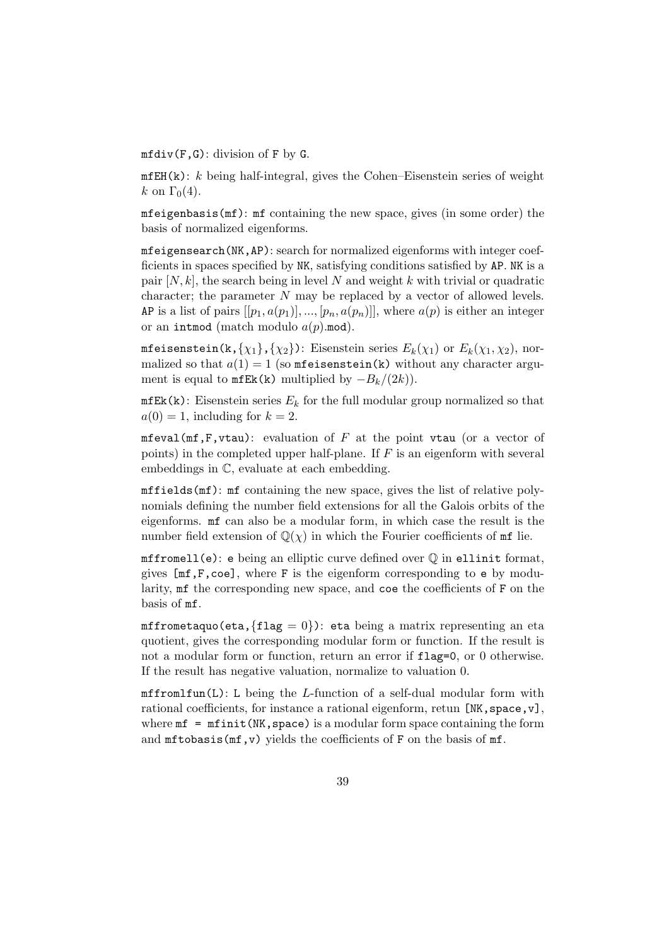$mfdiv(F,G)$ : division of F by G.

 $mE(H(k))$ : k being half-integral, gives the Cohen–Eisenstein series of weight k on  $\Gamma_0(4)$ .

mfeigenbasis(mf): mf containing the new space, gives (in some order) the basis of normalized eigenforms.

mfeigensearch(NK,AP): search for normalized eigenforms with integer coefficients in spaces specified by NK, satisfying conditions satisfied by AP. NK is a pair  $[N, k]$ , the search being in level N and weight k with trivial or quadratic character; the parameter N may be replaced by a vector of allowed levels. AP is a list of pairs  $[[p_1, a(p_1)], ..., [p_n, a(p_n)]]$ , where  $a(p)$  is either an integer or an intmod (match modulo  $a(p)$ .mod).

mfeisenstein(k,  $\{\chi_1\}$ ,  $\{\chi_2\}$ ): Eisenstein series  $E_k(\chi_1)$  or  $E_k(\chi_1,\chi_2)$ , normalized so that  $a(1) = 1$  (so mfeisenstein(k) without any character argument is equal to  $mfEx(k)$  multiplied by  $-B_k/(2k)$ .

 $mfEk(k)$ : Eisenstein series  $E_k$  for the full modular group normalized so that  $a(0) = 1$ , including for  $k = 2$ .

 $m$ feval( $m$ f,F,vtau): evaluation of F at the point vtau (or a vector of points) in the completed upper half-plane. If  $F$  is an eigenform with several embeddings in C, evaluate at each embedding.

mffields(mf): mf containing the new space, gives the list of relative polynomials defining the number field extensions for all the Galois orbits of the eigenforms. mf can also be a modular form, in which case the result is the number field extension of  $\mathbb{Q}(\chi)$  in which the Fourier coefficients of mf lie.

 $m$ ffromell(e): e being an elliptic curve defined over  $\mathbb Q$  in ellinit format, gives  $[\text{mf},F,\text{coel},\text{where }F]$  is the eigenform corresponding to e by modularity, mf the corresponding new space, and coe the coefficients of F on the basis of mf.

mffrometaquo(eta,  ${flag = 0}$ ): eta being a matrix representing an eta quotient, gives the corresponding modular form or function. If the result is not a modular form or function, return an error if flag=0, or 0 otherwise. If the result has negative valuation, normalize to valuation 0.

 $m$ ffromlfun(L): L being the L-function of a self-dual modular form with rational coefficients, for instance a rational eigenform, retun  $[NK, space, v]$ , where  $m f = m f \text{init}(NK, space)$  is a modular form space containing the form and  $m$ ftobasis(mf,v) yields the coefficients of F on the basis of  $m$ f.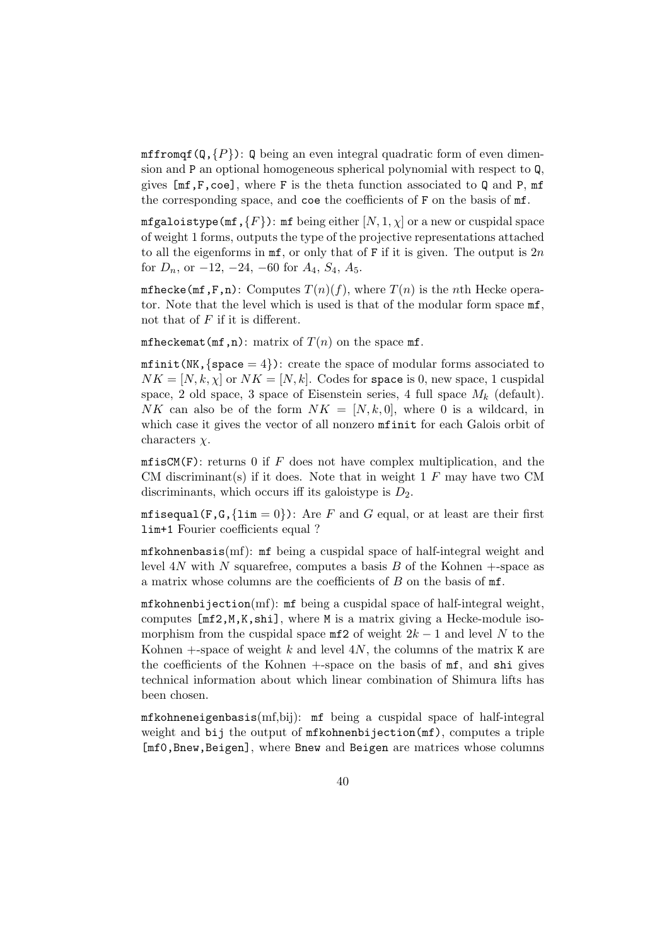**mffromqf(Q,{P}):** Q being an even integral quadratic form of even dimension and P an optional homogeneous spherical polynomial with respect to Q, gives  $[\text{mf},\text{F},\text{coe}]$ , where F is the theta function associated to Q and P,  $\text{mf}$ the corresponding space, and coe the coefficients of F on the basis of mf.

mfgaloistype(mf,  $\{F\}$ ): mf being either  $[N, 1, \chi]$  or a new or cuspidal space of weight 1 forms, outputs the type of the projective representations attached to all the eigenforms in  $m f$ , or only that of F if it is given. The output is  $2n$ for  $D_n$ , or  $-12$ ,  $-24$ ,  $-60$  for  $A_4$ ,  $S_4$ ,  $A_5$ .

mfhecke(mf,F,n): Computes  $T(n)(f)$ , where  $T(n)$  is the *n*th Hecke operator. Note that the level which is used is that of the modular form space mf, not that of  $F$  if it is different.

mfheckemat(mf,n): matrix of  $T(n)$  on the space mf.

 $mfinite(MK, \{space=4\})$ : create the space of modular forms associated to  $NK = [N, k, \chi]$  or  $NK = [N, k]$ . Codes for space is 0, new space, 1 cuspidal space, 2 old space, 3 space of Eisenstein series, 4 full space  $M_k$  (default). NK can also be of the form  $NK = [N, k, 0]$ , where 0 is a wildcard, in which case it gives the vector of all nonzero **mfinit** for each Galois orbit of characters  $\chi$ .

 $m$ fisCM(F): returns 0 if F does not have complex multiplication, and the CM discriminant(s) if it does. Note that in weight  $1 \, F$  may have two CM discriminants, which occurs iff its galoistype is  $D_2$ .

mfisequal(F,G, $\{lim = 0\}$ ): Are F and G equal, or at least are their first lim+1 Fourier coefficients equal ?

 $m$ fkohnenbasis $(mf)$ :  $m$ f being a cuspidal space of half-integral weight and level  $4N$  with N squarefree, computes a basis B of the Kohnen  $+$ -space as a matrix whose columns are the coefficients of B on the basis of mf.

 $m$ fkohnenbijection $(mf)$ :  $m$ f being a cuspidal space of half-integral weight, computes [mf2,M,K,shi], where M is a matrix giving a Hecke-module isomorphism from the cuspidal space mf2 of weight  $2k - 1$  and level N to the Kohnen  $+$ -space of weight k and level 4N, the columns of the matrix K are the coefficients of the Kohnen +-space on the basis of mf, and shi gives technical information about which linear combination of Shimura lifts has been chosen.

mfkohneneigenbasis(mf,bij): mf being a cuspidal space of half-integral weight and bij the output of mfkohnenbijection(mf), computes a triple [mf0,Bnew,Beigen], where Bnew and Beigen are matrices whose columns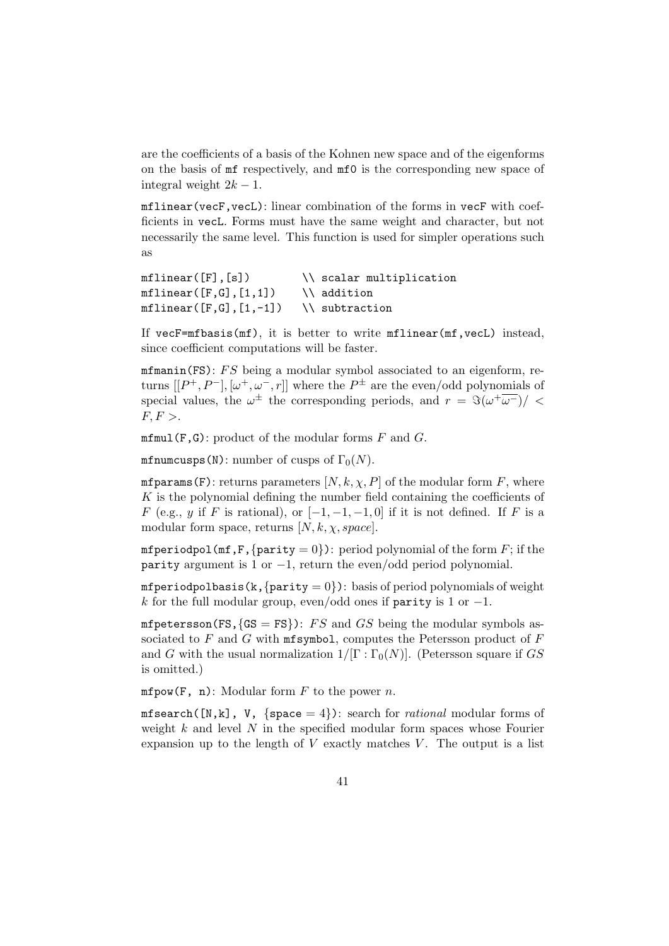are the coefficients of a basis of the Kohnen new space and of the eigenforms on the basis of mf respectively, and mf0 is the corresponding new space of integral weight  $2k - 1$ .

mflinear(vecF,vecL): linear combination of the forms in vecF with coefficients in vecL. Forms must have the same weight and character, but not necessarily the same level. This function is used for simpler operations such as

```
mflinear([F], [s]) \\ scalar multiplication
mflinear(F,G],[1,1]) \qquad \setminus \text{addition}mflinear([F,G],[1,-1]) \quad \backslash \ subtraction
```
If vecF=mfbasis(mf), it is better to write mflinear(mf,vecL) instead, since coefficient computations will be faster.

 $mfrann(FS)$ :  $FS$  being a modular symbol associated to an eigenform, returns  $[[P^+, P^-], [\omega^+, \omega^-, r]]$  where the  $P^{\pm}$  are the even/odd polynomials of special values, the  $\omega^{\pm}$  the corresponding periods, and  $r = \Im(\omega^+\overline{\omega^-})/$  $F, F >.$ 

 $m$ fmul(F,G): product of the modular forms F and G.

mfnumcusps(N): number of cusps of  $\Gamma_0(N)$ .

mf params (F): returns parameters  $[N, k, \chi, P]$  of the modular form F, where  $K$  is the polynomial defining the number field containing the coefficients of F (e.g., y if F is rational), or  $[-1, -1, -1, 0]$  if it is not defined. If F is a modular form space, returns  $[N, k, \chi, space]$ .

mfperiodpol(mf,F,{parity = 0}): period polynomial of the form  $F$ ; if the parity argument is 1 or  $-1$ , return the even/odd period polynomial.

mfperiodpolbasis(k,  $\{parity = 0\}$ ): basis of period polynomials of weight k for the full modular group, even/odd ones if parity is 1 or  $-1$ .

mfpetersson(FS,  $\{GS = FS\}$ ): FS and GS being the modular symbols associated to  $F$  and  $G$  with mfsymbol, computes the Petersson product of  $F$ and G with the usual normalization  $1/[\Gamma : \Gamma_0(N)]$ . (Petersson square if GS is omitted.)

 $m$ fpow(F, n): Modular form F to the power n.

mfsearch( $[N,k]$ , V, {space = 4}): search for *rational* modular forms of weight  $k$  and level  $N$  in the specified modular form spaces whose Fourier expansion up to the length of  $V$  exactly matches  $V$ . The output is a list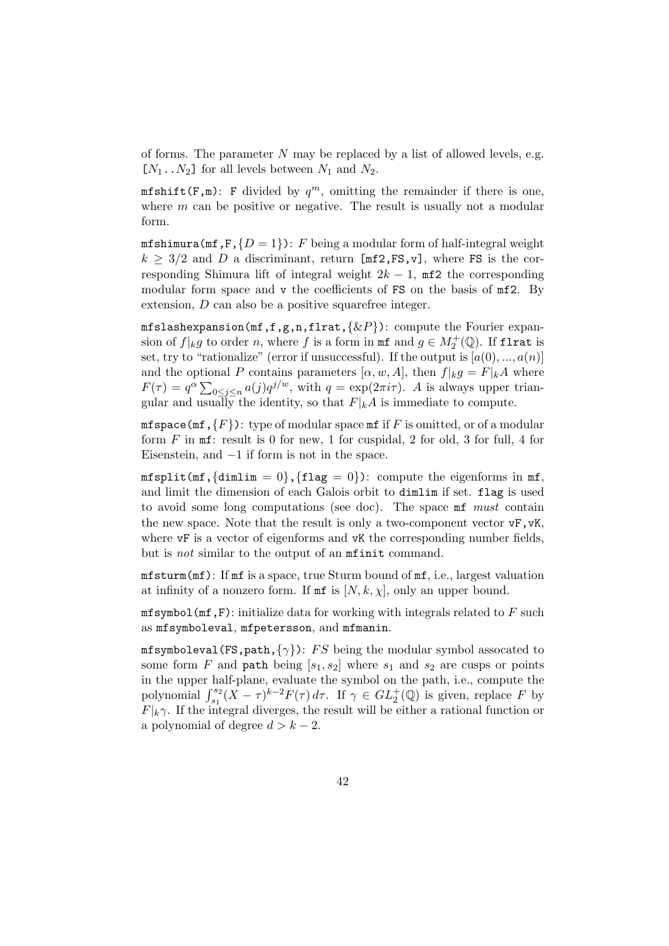of forms. The parameter  $N$  may be replaced by a list of allowed levels, e.g.  $[N_1 \t N_2]$  for all levels between  $N_1$  and  $N_2$ .

 $mfshift(F,m): F divided by q<sup>m</sup>, omitting the remainder if there is one,$ where  $m$  can be positive or negative. The result is usually not a modular form.

mfshimura(mf,F, $\{D=1\}$ ): F being a modular form of half-integral weight  $k \geq 3/2$  and D a discriminant, return [mf2, FS, v], where FS is the corresponding Shimura lift of integral weight  $2k - 1$ , mf2 the corresponding modular form space and v the coefficients of FS on the basis of  $mf2$ . By extension, D can also be a positive squarefree integer.

mfslashexpansion(mf,f,g,n,flrat, $\{ \& P \}$ ): compute the Fourier expansion of  $f|_k g$  to order n, where f is a form in mf and  $g \in M_2^+(\mathbb{Q})$ . If flrat is set, try to "rationalize" (error if unsuccessful). If the output is  $[a(0),...,a(n)]$ and the optional P contains parameters  $[\alpha, w, A]$ , then  $f|_k g = F|_k A$  where  $F(\tau) = q^{\alpha} \sum_{0 \leq j \leq n} a(j) q^{j/w}$ , with  $q = \exp(2\pi i \tau)$ . A is always upper triangular and usually the identity, so that  $F|_kA$  is immediate to compute.

mf space (mf,  $\{F\}$ ): type of modular space mf if F is omitted, or of a modular form  $F$  in  $m\text{f}$ : result is 0 for new, 1 for cuspidal, 2 for old, 3 for full, 4 for Eisenstein, and −1 if form is not in the space.

 $mfsplit(mf, \{dimlim = 0\}, \{flag = 0\})$ : compute the eigenforms in mf, and limit the dimension of each Galois orbit to dimlim if set. flag is used to avoid some long computations (see doc). The space mf must contain the new space. Note that the result is only a two-component vector  $vF$ , vK, where  $\nu$ F is a vector of eigenforms and  $\nu$ K the corresponding number fields, but is not similar to the output of an mfinit command.

mfsturm(mf): If mf is a space, true Sturm bound of mf, i.e., largest valuation at infinity of a nonzero form. If  $\pi f$  is  $[N, k, \chi]$ , only an upper bound.

 $mfsymbol(mf,F)$ : initialize data for working with integrals related to  $F$  such as mfsymboleval, mfpetersson, and mfmanin.

mfsymboleval(FS, path,  $\{\gamma\}$ ): FS being the modular symbol assocated to some form  $F$  and path being  $[s_1, s_2]$  where  $s_1$  and  $s_2$  are cusps or points in the upper half-plane, evaluate the symbol on the path, i.e., compute the polynomial  $\int_{s_1}^{s_2} (X - \tau)^{k-2} F(\tau) d\tau$ . If  $\gamma \in GL_2^+(\mathbb{Q})$  is given, replace F by  $F|_k\gamma$ . If the integral diverges, the result will be either a rational function or a polynomial of degree  $d > k - 2$ .